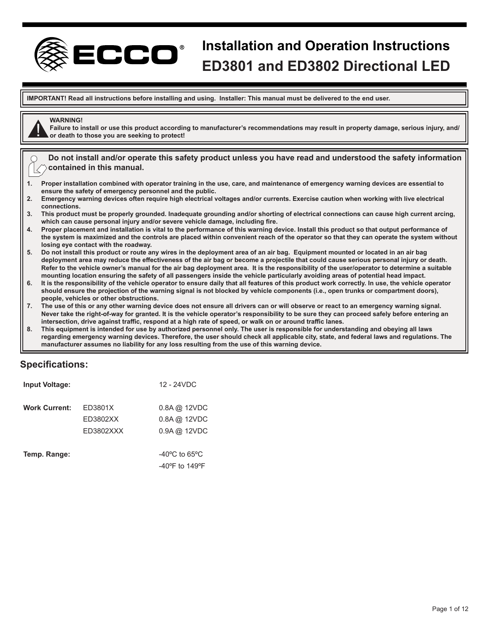

# **Installation and Operation Instructions xxxxxxx ED3801 and ED3802 Directional LED**

**IMPORTANT! Read all instructions before installing and using. Installer: This manual must be delivered to the end user.**

# **WARNING!**

**Failure to install or use this product according to manufacturer's recommendations may result in property damage, serious injury, and/ or death to those you are seeking to protect!**

**Do not install and/or operate this safety product unless you have read and understood the safety information contained in this manual.**

- **1. Proper installation combined with operator training in the use, care, and maintenance of emergency warning devices are essential to ensure the safety of emergency personnel and the public.**
- **2. Emergency warning devices often require high electrical voltages and/or currents. Exercise caution when working with live electrical connections.**
- **3. This product must be properly grounded. Inadequate grounding and/or shorting of electrical connections can cause high current arcing, which can cause personal injury and/or severe vehicle damage, including fire.**
- **4. Proper placement and installation is vital to the performance of this warning device. Install this product so that output performance of the system is maximized and the controls are placed within convenient reach of the operator so that they can operate the system without losing eye contact with the roadway.**
- **5. Do not install this product or route any wires in the deployment area of an air bag. Equipment mounted or located in an air bag deployment area may reduce the effectiveness of the air bag or become a projectile that could cause serious personal injury or death. Refer to the vehicle owner's manual for the air bag deployment area. It is the responsibility of the user/operator to determine a suitable mounting location ensuring the safety of all passengers inside the vehicle particularly avoiding areas of potential head impact.**
- **6. It is the responsibility of the vehicle operator to ensure daily that all features of this product work correctly. In use, the vehicle operator should ensure the projection of the warning signal is not blocked by vehicle components (i.e., open trunks or compartment doors), people, vehicles or other obstructions.**
- **7. The use of this or any other warning device does not ensure all drivers can or will observe or react to an emergency warning signal. Never take the right-of-way for granted. It is the vehicle operator's responsibility to be sure they can proceed safely before entering an intersection, drive against traffic, respond at a high rate of speed, or walk on or around traffic lanes.**
- **8. This equipment is intended for use by authorized personnel only. The user is responsible for understanding and obeying all laws regarding emergency warning devices. Therefore, the user should check all applicable city, state, and federal laws and regulations. The manufacturer assumes no liability for any loss resulting from the use of this warning device.**

# **Specifications:**

| <b>Input Voltage:</b> |           | 12 - 24VDC                          |
|-----------------------|-----------|-------------------------------------|
| <b>Work Current:</b>  | ED3801X   | $0.8A$ @ 12VDC                      |
|                       | ED3802XX  | $0.8A$ @ 12VDC                      |
|                       | ED3802XXX | $0.9A$ @ 12VDC                      |
| Temp. Range:          |           | -40 $^{\circ}$ C to 65 $^{\circ}$ C |
|                       |           | $-40^{\circ}$ F to 149 $^{\circ}$ F |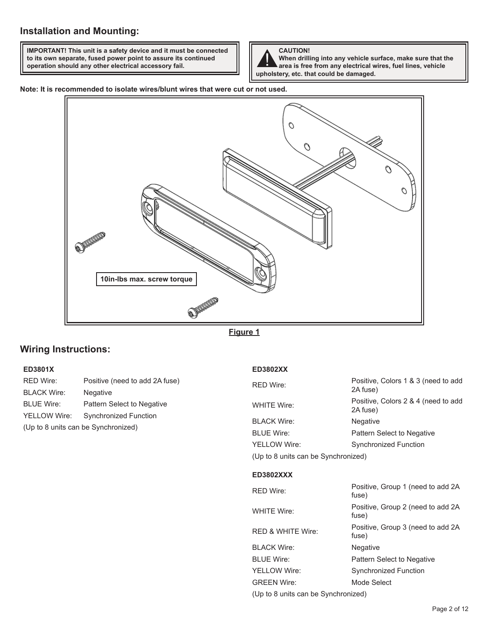**IMPORTANT! This unit is a safety device and it must be connected to its own separate, fused power point to assure its continued operation should any other electrical accessory fail.**



**When drilling into any vehicle surface, make sure that the area is free from any electrical wires, fuel lines, vehicle upholstery, etc. that could be damaged.**

**Note: It is recommended to isolate wires/blunt wires that were cut or not used.**



**Figure 1**

# **Wiring Instructions:**

## **ED3801X**

RED Wire: Positive (need to add 2A fuse) BLACK Wire: Negative BLUE Wire: Pattern Select to Negative YELLOW Wire: Synchronized Function (Up to 8 units can be Synchronized)

## **ED3802XX**

| <b>RED Wire:</b>                    | Positive, Colors 1 & 3 (need to add<br>2A fuse) |
|-------------------------------------|-------------------------------------------------|
| <b>WHITE Wire:</b>                  | Positive, Colors 2 & 4 (need to add<br>2A fuse) |
| <b>BLACK Wire:</b>                  | <b>Negative</b>                                 |
| <b>BLUE Wire:</b>                   | <b>Pattern Select to Negative</b>               |
| YELLOW Wire:                        | <b>Synchronized Function</b>                    |
| (Up to 8 units can be Synchronized) |                                                 |

### **ED3802XXX**

| <b>RED Wire:</b>                    | Positive, Group 1 (need to add 2A<br>fuse)  |
|-------------------------------------|---------------------------------------------|
| WHITE Wire:                         | Positive, Group 2 (need to add 2A<br>fuse)  |
| <b>RED &amp; WHITE Wire:</b>        | Positive, Group 3 (need to add 2A)<br>fuse) |
| <b>BLACK Wire:</b>                  | <b>Negative</b>                             |
| <b>BLUE Wire:</b>                   | Pattern Select to Negative                  |
| <b>YELLOW Wire:</b>                 | <b>Synchronized Function</b>                |
| <b>GREEN Wire:</b>                  | Mode Select                                 |
| (Up to 8 units can be Synchronized) |                                             |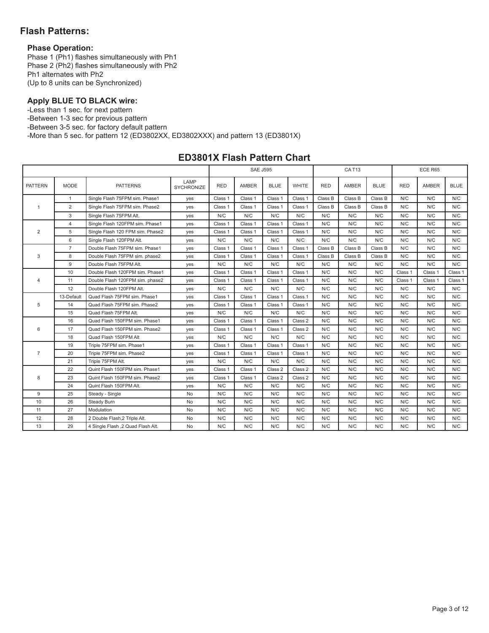# **Flash Patterns:**

# **Phase Operation:**

Phase 1 (Ph1) flashes simultaneously with Ph1 Phase 2 (Ph2) flashes simultaneously with Ph2 Ph1 alternates with Ph2 (Up to 8 units can be Synchronized)

# **Apply BLUE TO BLACK wire:**

-Less than 1 sec. for next pattern -Between 1-3 sec for previous pattern -Between 3-5 sec. for factory default pattern -More than 5 sec. for pattern 12 (ED3802XX, ED3802XXX) and pattern 13 (ED3801X)

# **ED3801X Flash Pattern Chart**

|                |                |                                   |                           |            | <b>SAE J595</b> |             |              |            | CAT <sub>13</sub> |             |            | ECE R65      |             |
|----------------|----------------|-----------------------------------|---------------------------|------------|-----------------|-------------|--------------|------------|-------------------|-------------|------------|--------------|-------------|
| <b>PATTERN</b> | <b>MODE</b>    | <b>PATTERNS</b>                   | LAMP<br><b>SYCHRONIZE</b> | <b>RED</b> | <b>AMBER</b>    | <b>BLUE</b> | <b>WHITE</b> | <b>RED</b> | <b>AMBER</b>      | <b>BLUE</b> | <b>RED</b> | <b>AMBER</b> | <b>BLUE</b> |
|                | $\mathbf{1}$   | Single Flash 75FPM sim. Phase1    | yes                       | Class 1    | Class 1         | Class 1     | Class 1      | Class B    | Class B           | Class B     | N/C        | N/C          | N/C         |
| -1             | 2              | Single Flash 75FPM sim. Phase2    | yes                       | Class 1    | Class 1         | Class 1     | Class 1      | Class B    | Class B           | Class B     | N/C        | N/C          | N/C         |
|                | 3              | Single Flash 75FPM Alt.           | yes                       | N/C        | N/C             | N/C         | N/C          | N/C        | N/C               | N/C         | N/C        | N/C          | N/C         |
|                | $\overline{4}$ | Single Flash 120FPM sim. Phase1   | yes                       | Class 1    | Class 1         | Class 1     | Class 1      | N/C        | N/C               | N/C         | N/C        | N/C          | N/C         |
| $\overline{2}$ | 5              | Single Flash 120 FPM sim. Phase2  | yes                       | Class 1    | Class 1         | Class 1     | Class 1      | N/C        | N/C               | N/C         | N/C        | N/C          | N/C         |
|                | 6              | Single Flash 120FPM Alt.          | yes                       | N/C        | N/C             | N/C         | N/C          | N/C        | N/C               | N/C         | N/C        | N/C          | N/C         |
|                | $\overline{7}$ | Double Flash 75FPM sim. Phase1    | yes                       | Class 1    | Class 1         | Class 1     | Class 1      | Class B    | Class B           | Class B     | N/C        | N/C          | N/C         |
| 3              | 8              | Double Flash 75FPM sim. phase2    | yes                       | Class 1    | Class 1         | Class 1     | Class 1      | Class B    | Class B           | Class B     | N/C        | N/C          | N/C         |
|                | 9              | Double Flash 75FPM Alt.           | yes                       | N/C        | N/C             | N/C         | N/C          | N/C        | N/C               | N/C         | N/C        | N/C          | N/C         |
|                | 10             | Double Flash 120FPM sim. Phase1   | yes                       | Class 1    | Class 1         | Class 1     | Class 1      | N/C        | N/C               | N/C         | Class 1    | Class 1      | Class 1     |
| $\overline{4}$ | 11             | Double Flash 120FPM sim. phase2   | yes                       | Class 1    | Class 1         | Class 1     | Class 1      | N/C        | N/C               | N/C         | Class 1    | Class 1      | Class 1     |
|                | 12             | Double Flash 120FPM Alt.          | yes                       | N/C        | N/C             | N/C         | N/C          | N/C        | N/C               | N/C         | N/C        | N/C          | N/C         |
|                | 13-Default     | Quad Flash 75FPM sim. Phase1      | yes                       | Class 1    | Class 1         | Class 1     | Class 1      | N/C        | N/C               | N/C         | N/C        | N/C          | N/C         |
| 5              | 14             | Quad Flash 75FPM sim. Phase2      | yes                       | Class 1    | Class 1         | Class 1     | Class 1      | N/C        | N/C               | N/C         | N/C        | N/C          | N/C         |
|                | 15             | Quad Flash 75FPM Alt.             | yes                       | N/C        | N/C             | N/C         | N/C          | N/C        | N/C               | N/C         | N/C        | N/C          | N/C         |
|                | 16             | Quad Flash 150FPM sim. Phase1     | yes                       | Class 1    | Class 1         | Class 1     | Class 2      | N/C        | N/C               | N/C         | N/C        | N/C          | N/C         |
| 6              | 17             | Quad Flash 150FPM sim. Phase2     | yes                       | Class 1    | Class 1         | Class 1     | Class 2      | N/C        | N/C               | N/C         | N/C        | N/C          | N/C         |
|                | 18             | Quad Flash 150FPM Alt             | yes                       | N/C        | N/C             | N/C         | N/C          | N/C        | N/C               | N/C         | N/C        | N/C          | N/C         |
|                | 19             | Triple 75FPM sim. Phase1          | yes                       | Class 1    | Class 1         | Class 1     | Class 1      | N/C        | N/C               | N/C         | N/C        | N/C          | N/C         |
| $\overline{7}$ | 20             | Triple 75FPM sim. Phase2          | yes                       | Class 1    | Class 1         | Class 1     | Class 1      | N/C        | N/C               | N/C         | N/C        | N/C          | N/C         |
|                | 21             | Triple 75FPM Alt.                 | yes                       | N/C        | N/C             | N/C         | N/C          | N/C        | N/C               | N/C         | N/C        | N/C          | N/C         |
|                | 22             | Quint Flash 150FPM sim. Phase1    | yes                       | Class 1    | Class 1         | Class 2     | Class 2      | N/C        | N/C               | N/C         | N/C        | N/C          | N/C         |
| 8              | 23             | Quint Flash 150FPM sim, Phase2    | yes                       | Class 1    | Class 1         | Class 2     | Class 2      | N/C        | N/C               | N/C         | N/C        | N/C          | N/C         |
|                | 24             | Quint Flash 150FPM Alt.           | yes                       | N/C        | N/C             | N/C         | N/C          | N/C        | N/C               | N/C         | N/C        | N/C          | N/C         |
| 9              | 25             | Steady - Single                   | <b>No</b>                 | N/C        | N/C             | N/C         | N/C          | N/C        | N/C               | N/C         | N/C        | N/C          | N/C         |
| 10             | 26             | Steady Burn                       | No                        | N/C        | N/C             | N/C         | N/C          | N/C        | N/C               | N/C         | N/C        | N/C          | N/C         |
| 11             | 27             | Modulation                        | No                        | N/C        | N/C             | N/C         | N/C          | N/C        | N/C               | N/C         | N/C        | N/C          | N/C         |
| 12             | 28             | 2 Double Flash, 2 Triple Alt.     | <b>No</b>                 | N/C        | N/C             | N/C         | N/C          | N/C        | N/C               | N/C         | N/C        | N/C          | N/C         |
| 13             | 29             | 4 Single Flash ,2 Quad Flash Alt. | No                        | N/C        | N/C             | N/C         | N/C          | N/C        | N/C               | N/C         | N/C        | N/C          | N/C         |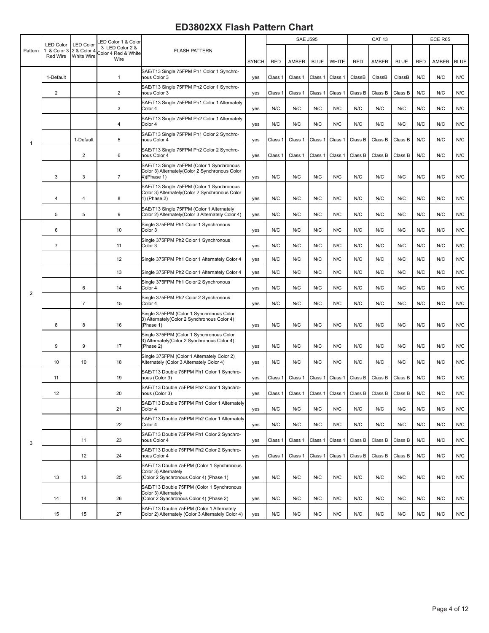# **ED3802XX Flash Pattern Chart**

|                |                                      |                                               | ED Color 1 & Color                             |                                                                                                             |              |            | <b>SAE J595</b> |             |              |                         | <b>CAT 13</b> |             |            | ECE R65 |             |
|----------------|--------------------------------------|-----------------------------------------------|------------------------------------------------|-------------------------------------------------------------------------------------------------------------|--------------|------------|-----------------|-------------|--------------|-------------------------|---------------|-------------|------------|---------|-------------|
| Pattern        | LED Color<br>1 & Color 3<br>Red Wire | <b>LED Color</b><br>2 & Color 4<br>White Wire | 3 LED Color 2 &<br>Color 4 Red & White<br>Wire | <b>FLASH PATTERN</b>                                                                                        | <b>SYNCH</b> | <b>RED</b> | AMBER           | <b>BLUE</b> | <b>WHITE</b> | <b>RED</b>              | AMBER         | <b>BLUE</b> | <b>RED</b> | AMBER   | <b>BLUE</b> |
|                | 1-Default                            |                                               | $\mathbf{1}$                                   | SAE/T13 Single 75FPM Ph1 Color 1 Synchro-<br><b>nous Color 3</b>                                            | yes          | Class 1    | Class 1         | Class 1     | Class 1      | ClassB                  | ClassB        | ClassB      | N/C        | N/C     | N/C         |
|                | 2                                    |                                               | $\overline{\mathbf{c}}$                        | SAE/T13 Single 75FPM Ph2 Color 1 Synchro-<br><b>nous Color 3</b>                                            | yes          | Class 1    | Class 1         | Class 1     | Class 1      | Class B                 | Class B       | Class B     | N/C        | N/C     | N/C         |
|                |                                      |                                               | 3                                              | SAE/T13 Single 75FPM Ph1 Color 1 Alternately<br>Color 4                                                     | yes          | N/C        | N/C             | N/C         | N/C          | N/C                     | N/C           | N/C         | N/C        | N/C     | N/C         |
|                |                                      |                                               | 4                                              | SAE/T13 Single 75FPM Ph2 Color 1 Alternately<br>Color 4                                                     | yes          | N/C        | N/C             | N/C         | N/C          | N/C                     | N/C           | N/C         | N/C        | N/C     | N/C         |
| 1              |                                      | 1-Default                                     | 5                                              | SAE/T13 Single 75FPM Ph1 Color 2 Synchro-<br><b>nous Color 4</b>                                            | yes          | Class 1    | Class 1         | Class 1     | Class 1      | Class B                 | Class B       | Class B     | N/C        | N/C     | N/C         |
|                |                                      | $\overline{2}$                                | 6                                              | SAE/T13 Single 75FPM Ph2 Color 2 Synchro-<br><b>nous Color 4</b>                                            | yes          | Class 1    | Class 1         | Class 1     | Class 1      | Class B                 | Class B       | Class B     | N/C        | N/C     | N/C         |
|                | 3                                    | 3                                             | 7                                              | SAE/T13 Single 75FPM (Color 1 Synchronous<br>Color 3) Alternately (Color 2 Synchronous Color<br>4)(Phase 1) | yes          | N/C        | N/C             | N/C         | N/C          | N/C                     | N/C           | N/C         | N/C        | N/C     | N/C         |
|                | 4                                    | $\overline{4}$                                | 8                                              | SAE/T13 Single 75FPM (Color 1 Synchronous<br>Color 3) Alternately(Color 2 Synchronous Color<br>4) (Phase 2) | yes          | N/C        | N/C             | N/C         | N/C          | N/C                     | N/C           | N/C         | N/C        | N/C     | N/C         |
|                | 5                                    | 5                                             | 9                                              | SAE/T13 Single 75FPM (Color 1 Alternately<br>Color 2) Alternately (Color 3 Alternately Color 4)             | yes          | N/C        | N/C             | N/C         | N/C          | N/C                     | N/C           | N/C         | N/C        | N/C     | N/C         |
|                | 6                                    |                                               | 10                                             | Single 375FPM Ph1 Color 1 Synchronous<br>Color 3                                                            | yes          | N/C        | N/C             | N/C         | N/C          | N/C                     | N/C           | N/C         | N/C        | N/C     | N/C         |
|                | $\overline{7}$                       |                                               | 11                                             | Single 375FPM Ph2 Color 1 Synchronous<br>Color 3                                                            | yes          | N/C        | N/C             | N/C         | N/C          | N/C                     | N/C           | N/C         | N/C        | N/C     | N/C         |
|                |                                      |                                               | 12                                             | Single 375FPM Ph1 Color 1 Alternately Color 4                                                               | yes          | N/C        | N/C             | N/C         | N/C          | N/C                     | N/C           | N/C         | N/C        | N/C     | N/C         |
|                |                                      |                                               | 13                                             | Single 375FPM Ph2 Color 1 Alternately Color 4                                                               | yes          | N/C        | N/C             | N/C         | N/C          | N/C                     | N/C           | N/C         | N/C        | N/C     | N/C         |
|                |                                      | 6                                             | 14                                             | Single 375FPM Ph1 Color 2 Synchronous<br>Color 4                                                            | yes          | N/C        | N/C             | N/C         | N/C          | N/C                     | N/C           | N/C         | N/C        | N/C     | N/C         |
| $\overline{2}$ |                                      | $\overline{7}$                                | 15                                             | Single 375FPM Ph2 Color 2 Synchronous<br>Color 4                                                            | yes          | N/C        | N/C             | N/C         | N/C          | N/C                     | N/C           | N/C         | N/C        | N/C     | N/C         |
|                | 8                                    | 8                                             | 16                                             | Single 375FPM (Color 1 Synchronous Color<br>3) Alternately(Color 2 Synchronous Color 4)<br>(Phase 1)        | yes          | N/C        | N/C             | N/C         | N/C          | N/C                     | N/C           | N/C         | N/C        | N/C     | N/C         |
|                | 9                                    | 9                                             | 17                                             | Single 375FPM (Color 1 Synchronous Color<br>3) Alternately(Color 2 Synchronous Color 4)<br>(Phase 2)        | yes          | N/C        | N/C             | N/C         | N/C          | N/C                     | N/C           | N/C         | N/C        | N/C     | N/C         |
|                | 10                                   | 10                                            | 18                                             | Single 375FPM (Color 1 Alternately Color 2)<br>Alternately (Color 3 Alternately Color 4)                    | yes          | N/C        | N/C             | N/C         | N/C          | N/C                     | N/C           | N/C         | N/C        | N/C     | N/C         |
|                | 11                                   |                                               | 19                                             | SAE/T13 Double 75FPM Ph1 Color 1 Synchro-<br>nous (Color 3)                                                 | yes          | Class 1    | Class 1         | Class 1     | Class 1      | Class B                 | Class B       | Class B     | N/C        | N/C     | N/C         |
|                | 12                                   |                                               | 20                                             | SAE/T13 Double 75FPM Ph2 Color 1 Synchro-<br>nous (Color 3)                                                 | yes          | Class 1    | Class 1         |             |              | Class 1 Class 1 Class B | Class B       | Class B     | N/C        | N/C     | N/C         |
|                |                                      |                                               | 21                                             | SAE/T13 Double 75FPM Ph1 Color 1 Alternately<br>Color 4                                                     | yes          | N/C        | N/C             | N/C         | N/C          | N/C                     | N/C           | N/C         | N/C        | N/C     | N/C         |
|                |                                      |                                               | 22                                             | SAE/T13 Double 75FPM Ph2 Color 1 Alternately<br>Color 4                                                     | yes          | N/C        | N/C             | N/C         | N/C          | N/C                     | N/C           | N/C         | N/C        | N/C     | N/C         |
| 3              |                                      | 11                                            | 23                                             | SAE/T13 Double 75FPM Ph1 Color 2 Synchro-<br>nous Color 4                                                   | yes          | Class 1    | Class 1         | Class 1     | Class 1      | Class B                 | Class B       | Class B     | N/C        | N/C     | N/C         |
|                |                                      | 12                                            | 24                                             | SAE/T13 Double 75FPM Ph2 Color 2 Synchro-<br><b>nous Color 4</b>                                            | yes          | Class 1    | Class 1         | Class 1     | Class 1      | Class B                 | Class B       | Class B     | N/C        | N/C     | N/C         |
|                | 13                                   | 13                                            | 25                                             | SAE/T13 Double 75FPM (Color 1 Synchronous<br>Color 3) Alternately<br>Color 2 Synchronous Color 4) (Phase 1) | yes          | N/C        | N/C             | N/C         | N/C          | N/C                     | N/C           | N/C         | N/C        | N/C     | N/C         |
|                | 14                                   | 14                                            | 26                                             | SAE/T13 Double 75FPM (Color 1 Synchronous<br>Color 3) Alternately<br>Color 2 Synchronous Color 4) (Phase 2) | yes          | N/C        | N/C             | N/C         | N/C          | N/C                     | N/C           | N/C         | N/C        | N/C     | N/C         |
|                | 15                                   | 15                                            | 27                                             | SAE/T13 Double 75FPM (Color 1 Alternately<br>Color 2) Alternately (Color 3 Alternately Color 4)             | yes          | N/C        | N/C             | N/C         | N/C          | N/C                     | N/C           | N/C         | N/C        | N/C     | N/C         |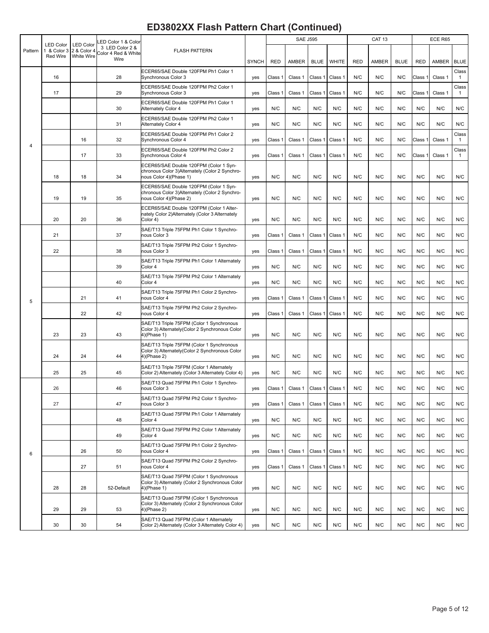|         |                                 |                                 | ED Color 1 & Color                     |                                                                                                                     |              |         | <b>SAE J595</b> |             |                   |            | <b>CAT 13</b> |             |            | ECE R65 |                         |
|---------|---------------------------------|---------------------------------|----------------------------------------|---------------------------------------------------------------------------------------------------------------------|--------------|---------|-----------------|-------------|-------------------|------------|---------------|-------------|------------|---------|-------------------------|
| Pattern | <b>LED Color</b><br>1 & Color 3 | <b>LED Color</b><br>2 & Color 4 | 3 LED Color 2 &<br>Color 4 Red & White | <b>FLASH PATTERN</b>                                                                                                |              |         |                 |             |                   |            |               |             |            |         |                         |
|         | Red Wire                        | White Wire                      | Wire                                   |                                                                                                                     | <b>SYNCH</b> | RED     | AMBER           | <b>BLUE</b> | <b>WHITE</b>      | <b>RED</b> | <b>AMBER</b>  | <b>BLUE</b> | <b>RED</b> | AMBER   | <b>BLUE</b>             |
|         | 16                              |                                 | 28                                     | ECER65/SAE Double 120FPM Ph1 Color 1<br>Synchronous Color 3                                                         | yes          | Class 1 | Class 1         | Class 1     | Class 1           | N/C        | N/C           | N/C         | Class 1    | Class 1 | Class<br>$\overline{1}$ |
|         | 17                              |                                 | 29                                     | ECER65/SAE Double 120FPM Ph2 Color 1<br>Synchronous Color 3                                                         | yes          | Class 1 | Class 1         | Class 1     | Class 1           | N/C        | N/C           | N/C         | Class 1    | Class 1 | Class<br>$\mathbf{1}$   |
|         |                                 |                                 | 30                                     | ECER65/SAE Double 120FPM Ph1 Color 1<br>Alternately Color 4                                                         | yes          | N/C     | N/C             | N/C         | N/C               | N/C        | N/C           | N/C         | N/C        | N/C     | N/C                     |
|         |                                 |                                 | 31                                     | ECER65/SAE Double 120FPM Ph2 Color 1<br>Alternately Color 4                                                         | yes          | N/C     | N/C             | N/C         | N/C               | N/C        | N/C           | N/C         | N/C        | N/C     | N/C                     |
|         |                                 | 16                              | 32                                     | ECER65/SAE Double 120FPM Ph1 Color 2<br>Synchronous Color 4                                                         | yes          | Class 1 | Class 1         | Class 1     | Class 1           | N/C        | N/C           | N/C         | Class 1    | Class 1 | Class<br>$\overline{1}$ |
| 4       |                                 | 17                              | 33                                     | ECER65/SAE Double 120FPM Ph2 Color 2<br>Synchronous Color 4                                                         | yes          | Class 1 | Class 1         | Class 1     | Class 1           | N/C        | N/C           | N/C         | Class 1    | Class 1 | Class<br>$\mathbf{1}$   |
|         | 18                              | 18                              | 34                                     | ECER65/SAE Double 120FPM (Color 1 Syn-<br>chronous Color 3) Alternately (Color 2 Synchro-<br>nous Color 4)(Phase 1) | yes          | N/C     | N/C             | N/C         | N/C               | N/C        | N/C           | N/C         | N/C        | N/C     | N/C                     |
|         | 19                              | 19                              | 35                                     | ECER65/SAE Double 120FPM (Color 1 Syn-<br>chronous Color 3) Alternately (Color 2 Synchro-<br>nous Color 4)(Phase 2) | yes          | N/C     | N/C             | N/C         | N/C               | N/C        | N/C           | N/C         | N/C        | N/C     | N/C                     |
|         | 20                              | 20                              | 36                                     | ECER65/SAE Double 120FPM (Color 1 Alter-<br>nately Color 2) Alternately (Color 3 Alternately<br>Color 4)            | yes          | N/C     | N/C             | N/C         | N/C               | N/C        | N/C           | N/C         | N/C        | N/C     | N/C                     |
|         | 21                              |                                 | 37                                     | SAE/T13 Triple 75FPM Ph1 Color 1 Synchro-<br>nous Color 3                                                           | yes          | Class 1 | Class 1         | Class 1     | Class 1           | N/C        | N/C           | N/C         | N/C        | N/C     | N/C                     |
|         | 22                              |                                 | 38                                     | SAE/T13 Triple 75FPM Ph2 Color 1 Synchro-<br>nous Color 3                                                           | yes          | Class 1 | Class 1         | Class 1     | Class 1           | N/C        | N/C           | N/C         | N/C        | N/C     | N/C                     |
|         |                                 |                                 | 39                                     | SAE/T13 Triple 75FPM Ph1 Color 1 Alternately<br>Color 4                                                             | yes          | N/C     | N/C             | N/C         | N/C               | N/C        | N/C           | N/C         | N/C        | N/C     | N/C                     |
|         |                                 |                                 | 40                                     | SAE/T13 Triple 75FPM Ph2 Color 1 Alternately<br>Color 4                                                             | yes          | N/C     | N/C             | N/C         | N/C               | N/C        | N/C           | N/C         | N/C        | N/C     | N/C                     |
| 5       |                                 | 21                              | 41                                     | SAE/T13 Triple 75FPM Ph1 Color 2 Synchro-<br>nous Color 4                                                           | yes          | Class 1 | Class 1         | Class 1     | Class 1           | N/C        | N/C           | N/C         | N/C        | N/C     | N/C                     |
|         |                                 | 22                              | 42                                     | SAE/T13 Triple 75FPM Ph2 Color 2 Synchro-<br>nous Color 4                                                           | yes          | Class 1 | Class 1         | Class 1     | Class 1           | N/C        | N/C           | N/C         | N/C        | N/C     | N/C                     |
|         | 23                              | 23                              | 43                                     | SAE/T13 Triple 75FPM (Color 1 Synchronous<br>Color 3) Alternately(Color 2 Synchronous Color<br>4)(Phase 1)          | yes          | N/C     | N/C             | N/C         | N/C               | N/C        | N/C           | N/C         | N/C        | N/C     | N/C                     |
|         | 24                              | 24                              | 44                                     | SAE/T13 Triple 75FPM (Color 1 Synchronous<br>Color 3) Alternately (Color 2 Synchronous Color<br>4)(Phase 2)         | yes          | N/C     | N/C             | N/C         | N/C               | N/C        | N/C           | N/C         | N/C        | N/C     | N/C                     |
|         | 25                              | 25                              | 45                                     | SAE/T13 Triple 75FPM (Color 1 Alternately<br>Color 2) Alternately (Color 3 Alternately Color 4)                     | yes          | N/C     | N/C             | N/C         | N/C               | N/C        | N/C           | N/C         | N/C        | N/C     | N/C                     |
|         | 26                              |                                 | 46                                     | SAE/T13 Quad 75FPM Ph1 Color 1 Synchro-<br>nous Color 3                                                             | yes          | Class 1 | Class 1         |             | Class 1   Class 1 | N/C        | N/C           | N/C         | N/C        | N/C     | N/C                     |
|         | 27                              |                                 | 47                                     | SAE/T13 Quad 75FPM Ph2 Color 1 Synchro-<br>nous Color 3                                                             | yes          | Class 1 | Class 1         | Class 1     | Class 1           | N/C        | N/C           | N/C         | N/C        | N/C     | N/C                     |
|         |                                 |                                 | 48                                     | SAE/T13 Quad 75FPM Ph1 Color 1 Alternately<br>Color 4                                                               | yes          | N/C     | N/C             | N/C         | N/C               | N/C        | N/C           | N/C         | N/C        | N/C     | N/C                     |
|         |                                 |                                 | 49                                     | SAE/T13 Quad 75FPM Ph2 Color 1 Alternately<br>Color 4                                                               | yes          | N/C     | N/C             | N/C         | N/C               | N/C        | N/C           | N/C         | N/C        | N/C     | N/C                     |
| 6       |                                 | 26                              | 50                                     | SAE/T13 Quad 75FPM Ph1 Color 2 Synchro-<br>nous Color 4                                                             | yes          | Class 1 | Class 1         | Class 1     | Class 1           | N/C        | N/C           | N/C         | N/C        | N/C     | N/C                     |
|         |                                 | 27                              | 51                                     | SAE/T13 Quad 75FPM Ph2 Color 2 Synchro-<br>nous Color 4                                                             | yes          | Class 1 | Class 1         | Class 1     | Class 1           | N/C        | N/C           | N/C         | N/C        | N/C     | N/C                     |
|         | 28                              | 28                              | 52-Default                             | SAE/T13 Quad 75FPM (Color 1 Synchronous<br>Color 3) Alternately (Color 2 Synchronous Color<br>4)(Phase 1)           | yes          | N/C     | N/C             | N/C         | N/C               | N/C        | N/C           | N/C         | N/C        | N/C     | N/C                     |
|         | 29                              | 29                              | 53                                     | SAE/T13 Quad 75FPM (Color 1 Synchronous<br>Color 3) Alternately (Color 2 Synchronous Color<br>4)(Phase 2)           | yes          | N/C     | N/C             | N/C         | N/C               | N/C        | N/C           | N/C         | N/C        | N/C     | N/C                     |
|         | 30                              | 30                              | 54                                     | SAE/T13 Quad 75FPM (Color 1 Alternately<br>Color 2) Alternately (Color 3 Alternately Color 4)                       | yes          | N/C     | N/C             | N/C         | N/C               | N/C        | N/C           | N/C         | N/C        | N/C     | N/C                     |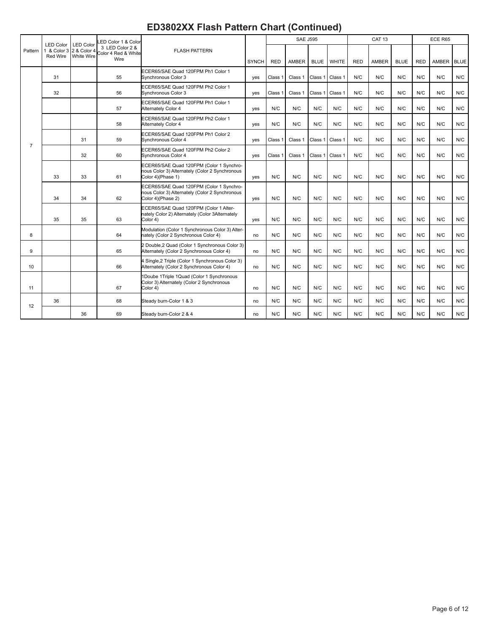|                | <b>LED Color</b>                    | <b>LED Color</b> | ED Color 1 & Color                     |                                                                                                                                                                                                                                                                                                                                                                                                                                                                                                                                                                                                                                                                                                                                                                                                                                                                                                                                                                                                                                                                                                                                                                                                                                                                                                                                                                                                                                                                                                                                                                                                       |              |            |              |             |              |            | CAT <sub>13</sub> |             |            | ECE R65    |     |
|----------------|-------------------------------------|------------------|----------------------------------------|-------------------------------------------------------------------------------------------------------------------------------------------------------------------------------------------------------------------------------------------------------------------------------------------------------------------------------------------------------------------------------------------------------------------------------------------------------------------------------------------------------------------------------------------------------------------------------------------------------------------------------------------------------------------------------------------------------------------------------------------------------------------------------------------------------------------------------------------------------------------------------------------------------------------------------------------------------------------------------------------------------------------------------------------------------------------------------------------------------------------------------------------------------------------------------------------------------------------------------------------------------------------------------------------------------------------------------------------------------------------------------------------------------------------------------------------------------------------------------------------------------------------------------------------------------------------------------------------------------|--------------|------------|--------------|-------------|--------------|------------|-------------------|-------------|------------|------------|-----|
| Pattern        | 1 & Color 3 2 & Color 4<br>Red Wire | White Wire       | 3 LED Color 2 &<br>Color 4 Red & White | <b>FLASH PATTERN</b>                                                                                                                                                                                                                                                                                                                                                                                                                                                                                                                                                                                                                                                                                                                                                                                                                                                                                                                                                                                                                                                                                                                                                                                                                                                                                                                                                                                                                                                                                                                                                                                  |              |            |              |             |              |            |                   |             |            |            |     |
|                |                                     |                  | Wire                                   |                                                                                                                                                                                                                                                                                                                                                                                                                                                                                                                                                                                                                                                                                                                                                                                                                                                                                                                                                                                                                                                                                                                                                                                                                                                                                                                                                                                                                                                                                                                                                                                                       | <b>SYNCH</b> | <b>RED</b> | <b>AMBER</b> | <b>BLUE</b> | <b>WHITE</b> | <b>RED</b> | AMBER             | <b>BLUE</b> | <b>RED</b> | AMBER BLUE |     |
|                | 31                                  |                  | 55                                     | ECER65/SAE Quad 120FPM Ph1 Color 1<br>Synchronous Color 3                                                                                                                                                                                                                                                                                                                                                                                                                                                                                                                                                                                                                                                                                                                                                                                                                                                                                                                                                                                                                                                                                                                                                                                                                                                                                                                                                                                                                                                                                                                                             | yes          | Class 1    | Class 1      | Class 1     | Class 1      | N/C        | N/C               | N/C         | N/C        | N/C        | N/C |
|                | 32                                  |                  | 56                                     | ECER65/SAE Quad 120FPM Ph2 Color 1<br>Synchronous Color 3                                                                                                                                                                                                                                                                                                                                                                                                                                                                                                                                                                                                                                                                                                                                                                                                                                                                                                                                                                                                                                                                                                                                                                                                                                                                                                                                                                                                                                                                                                                                             | yes          | Class 1    | Class 1      | Class 1     | Class 1      | N/C        | N/C               | N/C         | N/C        | N/C        | N/C |
|                |                                     |                  | 57                                     | ECER65/SAE Quad 120FPM Ph1 Color 1<br>Alternately Color 4                                                                                                                                                                                                                                                                                                                                                                                                                                                                                                                                                                                                                                                                                                                                                                                                                                                                                                                                                                                                                                                                                                                                                                                                                                                                                                                                                                                                                                                                                                                                             | yes          | N/C        | N/C          | N/C         | N/C          | N/C        | N/C               | N/C         | N/C        | N/C        | N/C |
|                |                                     |                  | 58                                     | ECER65/SAE Quad 120FPM Ph2 Color 1<br>Alternately Color 4                                                                                                                                                                                                                                                                                                                                                                                                                                                                                                                                                                                                                                                                                                                                                                                                                                                                                                                                                                                                                                                                                                                                                                                                                                                                                                                                                                                                                                                                                                                                             | yes          | N/C        | N/C          | N/C         | N/C          | N/C        | N/C               | N/C         | N/C        | N/C        | N/C |
|                |                                     | 31               | 59                                     | <b>SAE J595</b><br>ECER65/SAE Quad 120FPM Ph1 Color 2<br>Class 1<br>Class 1<br>N/C<br>N/C<br>N/C<br>N/C<br>Synchronous Color 4<br>Class 1<br>Class 1<br>yes<br>ECER65/SAE Quad 120FPM Ph2 Color 2<br>Class 1<br>Class 1<br>Class 1<br>N/C<br>N/C<br>N/C<br>N/C<br>Synchronous Color 4<br>Class 1<br>yes<br>ECER65/SAE Quad 120FPM (Color 1 Synchro-<br>nous Color 3) Alternately (Color 2 Synchronous<br>N/C<br>N/C<br>N/C<br>N/C<br>N/C<br>N/C<br>N/C<br>Color 4)(Phase 1)<br>N/C<br>yes<br>ECER65/SAE Quad 120FPM (Color 1 Synchro-<br>nous Color 3) Alternately (Color 2 Synchronous<br>N/C<br>N/C<br>N/C<br>N/C<br>Color 4)(Phase 2)<br>N/C<br>N/C<br>N/C<br>N/C<br>yes<br>ECER65/SAE Quad 120FPM (Color 1 Alter-<br>nately Color 2) Alternately (Color 3Alternately<br>N/C<br>N/C<br>N/C<br>N/C<br>N/C<br>N/C<br>Color 4)<br>N/C<br>N/C<br>yes<br>Modulation (Color 1 Synchronous Color 3) Alter-<br>N/C<br>N/C<br>N/C<br>N/C<br>nately (Color 2 Synchronous Color 4)<br>N/C<br>N/C<br>N/C<br>N/C<br>no<br>2 Double, 2 Quad (Color 1 Synchronous Color 3)<br>Alternately (Color 2 Synchronous Color 4)<br>N/C<br>N/C<br>N/C<br>N/C<br>N/C<br>N/C<br>N/C<br>N/C<br>no<br>4 Single, 2 Triple (Color 1 Synchronous Color 3)<br>N/C<br>N/C<br>N/C<br>N/C<br>N/C<br>N/C<br>N/C<br>N/C<br>Alternately (Color 2 Synchronous Color 4)<br>no<br>1Doube 1Triple 1Quad (Color 1 Synchronous<br>Color 3) Alternately (Color 2 Synchronous<br>N/C<br>N/C<br>N/C<br>N/C<br>N/C<br>N/C<br>N/C<br>Color 4)<br>N/C<br>no<br>N/C<br>N/C<br>N/C<br>N/C<br>N/C<br>N/C<br>N/C<br>N/C<br>Steady burn-Color 1 & 3<br>no |              |            |              | N/C         | N/C          |            |                   |             |            |            |     |
| $\overline{7}$ |                                     | 32               | 60                                     |                                                                                                                                                                                                                                                                                                                                                                                                                                                                                                                                                                                                                                                                                                                                                                                                                                                                                                                                                                                                                                                                                                                                                                                                                                                                                                                                                                                                                                                                                                                                                                                                       |              |            |              |             |              |            |                   |             |            | N/C        | N/C |
|                | 33                                  | 33               | 61                                     |                                                                                                                                                                                                                                                                                                                                                                                                                                                                                                                                                                                                                                                                                                                                                                                                                                                                                                                                                                                                                                                                                                                                                                                                                                                                                                                                                                                                                                                                                                                                                                                                       |              |            |              |             |              |            |                   |             |            | N/C        | N/C |
|                | 34                                  | 34               | 62                                     |                                                                                                                                                                                                                                                                                                                                                                                                                                                                                                                                                                                                                                                                                                                                                                                                                                                                                                                                                                                                                                                                                                                                                                                                                                                                                                                                                                                                                                                                                                                                                                                                       |              |            |              |             |              |            |                   |             |            | N/C        | N/C |
|                | 35                                  | 35               | 63                                     |                                                                                                                                                                                                                                                                                                                                                                                                                                                                                                                                                                                                                                                                                                                                                                                                                                                                                                                                                                                                                                                                                                                                                                                                                                                                                                                                                                                                                                                                                                                                                                                                       |              |            |              |             |              |            |                   |             |            | N/C        | N/C |
| 8              |                                     |                  | 64                                     |                                                                                                                                                                                                                                                                                                                                                                                                                                                                                                                                                                                                                                                                                                                                                                                                                                                                                                                                                                                                                                                                                                                                                                                                                                                                                                                                                                                                                                                                                                                                                                                                       |              |            |              |             |              |            |                   |             |            | N/C        | N/C |
| 9              |                                     |                  | 65                                     |                                                                                                                                                                                                                                                                                                                                                                                                                                                                                                                                                                                                                                                                                                                                                                                                                                                                                                                                                                                                                                                                                                                                                                                                                                                                                                                                                                                                                                                                                                                                                                                                       |              |            |              |             |              |            |                   |             |            | N/C        | N/C |
| 10             |                                     |                  | 66                                     |                                                                                                                                                                                                                                                                                                                                                                                                                                                                                                                                                                                                                                                                                                                                                                                                                                                                                                                                                                                                                                                                                                                                                                                                                                                                                                                                                                                                                                                                                                                                                                                                       |              |            |              |             |              |            |                   |             |            | N/C        | N/C |
| 11             |                                     |                  | 67                                     |                                                                                                                                                                                                                                                                                                                                                                                                                                                                                                                                                                                                                                                                                                                                                                                                                                                                                                                                                                                                                                                                                                                                                                                                                                                                                                                                                                                                                                                                                                                                                                                                       |              |            |              |             |              |            |                   |             |            | N/C        | N/C |
| 12             | 36                                  |                  | 68                                     |                                                                                                                                                                                                                                                                                                                                                                                                                                                                                                                                                                                                                                                                                                                                                                                                                                                                                                                                                                                                                                                                                                                                                                                                                                                                                                                                                                                                                                                                                                                                                                                                       |              |            |              |             |              |            |                   |             |            | N/C        | N/C |
|                |                                     | 36               | 69                                     | Steady burn-Color 2 & 4                                                                                                                                                                                                                                                                                                                                                                                                                                                                                                                                                                                                                                                                                                                                                                                                                                                                                                                                                                                                                                                                                                                                                                                                                                                                                                                                                                                                                                                                                                                                                                               | no           | N/C        | N/C          | N/C         | N/C          | N/C        | N/C               | N/C         | N/C        | N/C        | N/C |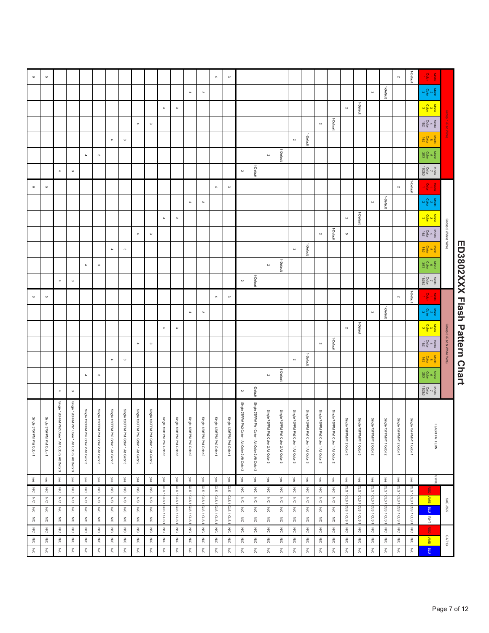# ED3802XXXX Flash Pattern Chart

|                                      |                            | $\frac{1}{\sqrt{2}}\frac{1}{\sqrt{2}}\frac{1}{\sqrt{2}}\frac{1}{\sqrt{2}}\frac{1}{\sqrt{2}}\frac{1}{\sqrt{2}}\frac{1}{\sqrt{2}}\frac{1}{\sqrt{2}}\frac{1}{\sqrt{2}}\frac{1}{\sqrt{2}}\frac{1}{\sqrt{2}}\frac{1}{\sqrt{2}}\frac{1}{\sqrt{2}}\frac{1}{\sqrt{2}}\frac{1}{\sqrt{2}}\frac{1}{\sqrt{2}}\frac{1}{\sqrt{2}}\frac{1}{\sqrt{2}}\frac{1}{\sqrt{2}}\frac{1}{\sqrt{2}}\frac{1}{\sqrt{2}}\frac{1}{\sqrt{2}}$                                                   | 1-Default                | $\sim$                   |                             |                                          |                          |                          |                                      |                                      |                                      |                                              |                                      |                                      |                                                  |                                                  | $\boldsymbol{\omega}$     | $\mathcal{A}% _{T}=\mathcal{A}_{T}\!\left( a,b\right) ,\mathcal{A}_{T}=\mathcal{A}_{T}\!\left( a,b\right) ,$ |                           |                           |                                          |                                                                                                              |                                       |                                       |                                       |                                       |                                       |                                       |                                                   |                                                   | $\mathfrak{S}$               | $^\circ$                  |
|--------------------------------------|----------------------------|------------------------------------------------------------------------------------------------------------------------------------------------------------------------------------------------------------------------------------------------------------------------------------------------------------------------------------------------------------------------------------------------------------------------------------------------------------------|--------------------------|--------------------------|-----------------------------|------------------------------------------|--------------------------|--------------------------|--------------------------------------|--------------------------------------|--------------------------------------|----------------------------------------------|--------------------------------------|--------------------------------------|--------------------------------------------------|--------------------------------------------------|---------------------------|--------------------------------------------------------------------------------------------------------------|---------------------------|---------------------------|------------------------------------------|--------------------------------------------------------------------------------------------------------------|---------------------------------------|---------------------------------------|---------------------------------------|---------------------------------------|---------------------------------------|---------------------------------------|---------------------------------------------------|---------------------------------------------------|------------------------------|---------------------------|
|                                      |                            | $\frac{\log a}{\log a}$                                                                                                                                                                                                                                                                                                                                                                                                                                          |                          |                          | 1-Default                   | $\sim$                                   |                          |                          |                                      |                                      |                                      |                                              |                                      |                                      |                                                  |                                                  |                           |                                                                                                              | $\boldsymbol{\omega}$     | $\Delta$                  |                                          |                                                                                                              |                                       |                                       |                                       |                                       |                                       |                                       |                                                   |                                                   |                              |                           |
|                                      |                            |                                                                                                                                                                                                                                                                                                                                                                                                                                                                  |                          |                          |                             |                                          | 1-Default                | $\rm \sim$               |                                      |                                      |                                      |                                              |                                      |                                      |                                                  |                                                  |                           |                                                                                                              |                           |                           | $\boldsymbol{\omega}$                    | $\mathcal{A}% _{T}=\mathcal{A}_{T}\!\left( a,b\right) ,\mathcal{A}_{T}=\mathcal{A}_{T}\!\left( a,b\right) ,$ |                                       |                                       |                                       |                                       |                                       |                                       |                                                   |                                                   |                              |                           |
|                                      |                            | $\frac{\text{Mode}}{\text{482}}$                                                                                                                                                                                                                                                                                                                                                                                                                                 |                          |                          |                             |                                          |                          |                          | 1-Default                            | $\sim$                               |                                      |                                              |                                      |                                      |                                                  |                                                  |                           |                                                                                                              |                           |                           |                                          |                                                                                                              | $\boldsymbol{\omega}$                 | $\Delta$                              |                                       |                                       |                                       |                                       |                                                   |                                                   |                              |                           |
|                                      |                            | $\frac{\text{Model}}{\text{Total}}$                                                                                                                                                                                                                                                                                                                                                                                                                              |                          |                          |                             |                                          |                          |                          |                                      |                                      | 1-Default                            | $\sim$                                       |                                      |                                      |                                                  |                                                  |                           |                                                                                                              |                           |                           |                                          |                                                                                                              |                                       |                                       | $\boldsymbol{\omega}$                 | $\blacktriangle$                      |                                       |                                       |                                                   |                                                   |                              |                           |
|                                      |                            | $\begin{array}{c} \text{Mode} \\ \text{Colar} \\ \text{2.83} \end{array}$                                                                                                                                                                                                                                                                                                                                                                                        |                          |                          |                             |                                          |                          |                          |                                      |                                      |                                      |                                              | 1-Default                            | $\sim$                               |                                                  |                                                  |                           |                                                                                                              |                           |                           |                                          |                                                                                                              |                                       |                                       |                                       |                                       | $\omega$                              | $\blacktriangle$                      |                                                   |                                                   |                              |                           |
|                                      |                            |                                                                                                                                                                                                                                                                                                                                                                                                                                                                  |                          |                          |                             |                                          |                          |                          |                                      |                                      |                                      |                                              |                                      |                                      |                                                  |                                                  |                           |                                                                                                              |                           |                           |                                          |                                                                                                              |                                       |                                       |                                       |                                       |                                       |                                       |                                                   |                                                   |                              |                           |
|                                      |                            | $\begin{array}{c} \text{Mode} \\ \text{Colar} \\ \text{18.28.3} \end{array}$                                                                                                                                                                                                                                                                                                                                                                                     |                          |                          |                             |                                          |                          |                          |                                      |                                      |                                      |                                              |                                      |                                      | 1-Default                                        | $\mathord{\sim}$                                 |                           |                                                                                                              |                           |                           |                                          |                                                                                                              |                                       |                                       |                                       |                                       |                                       |                                       | $\boldsymbol{\omega}$                             | $\Delta$                                          |                              |                           |
|                                      |                            | $\frac{1}{\sqrt{2}} \frac{1}{\sqrt{2}} \frac{1}{\sqrt{2}}$                                                                                                                                                                                                                                                                                                                                                                                                       | 1-Default                | $\sim$                   |                             |                                          |                          |                          |                                      |                                      |                                      |                                              |                                      |                                      |                                                  |                                                  | $\boldsymbol{\omega}$     | $\mathcal{A}% _{0}\left( t_{1}\right) \in\mathcal{A}_{0}$                                                    |                           |                           |                                          |                                                                                                              |                                       |                                       |                                       |                                       |                                       |                                       |                                                   |                                                   | $\mathfrak{S}$               | $\circ$                   |
|                                      |                            | $\frac{\text{Mode}}{\text{Cobor}}$                                                                                                                                                                                                                                                                                                                                                                                                                               |                          |                          | 1-Default                   | $\sim$                                   |                          |                          |                                      |                                      |                                      |                                              |                                      |                                      |                                                  |                                                  |                           |                                                                                                              | $\boldsymbol{\omega}$     | $\blacktriangle$          |                                          |                                                                                                              |                                       |                                       |                                       |                                       |                                       |                                       |                                                   |                                                   |                              |                           |
|                                      |                            |                                                                                                                                                                                                                                                                                                                                                                                                                                                                  |                          |                          |                             |                                          | 1-Default                | $\sim$                   |                                      |                                      |                                      |                                              |                                      |                                      |                                                  |                                                  |                           |                                                                                                              |                           |                           | $\boldsymbol{\omega}$                    | $\blacktriangle$                                                                                             |                                       |                                       |                                       |                                       |                                       |                                       |                                                   |                                                   |                              |                           |
|                                      | Group 2 (White Wire)       | $\frac{\text{Mod}}{\text{gcd}} \neq \frac{\text{Mod}}{\text{gcd}}$                                                                                                                                                                                                                                                                                                                                                                                               |                          |                          |                             |                                          |                          | $\mathfrak{S}$           | 1-Default                            | $\sim$                               |                                      |                                              |                                      |                                      |                                                  |                                                  |                           |                                                                                                              |                           |                           |                                          |                                                                                                              | $\boldsymbol{\omega}$                 | $\Delta$                              |                                       |                                       |                                       |                                       |                                                   |                                                   |                              |                           |
|                                      |                            | Mode<br>Color<br>183                                                                                                                                                                                                                                                                                                                                                                                                                                             |                          |                          |                             |                                          |                          |                          |                                      |                                      | 1-Default                            | $\sim$                                       |                                      |                                      |                                                  |                                                  |                           |                                                                                                              |                           |                           |                                          |                                                                                                              |                                       |                                       | $\boldsymbol{\omega}$                 | $\blacktriangle$                      |                                       |                                       |                                                   |                                                   |                              |                           |
|                                      |                            | $\frac{\text{Mode}}{\text{c}}\text{e}^{\frac{\text{G}}{\text{C}}}$                                                                                                                                                                                                                                                                                                                                                                                               |                          |                          |                             |                                          |                          |                          |                                      |                                      |                                      |                                              | 1-Default                            | $\sim$                               |                                                  |                                                  |                           |                                                                                                              |                           |                           |                                          |                                                                                                              |                                       |                                       |                                       |                                       | $\boldsymbol{\omega}$                 | $\blacktriangle$                      |                                                   |                                                   |                              |                           |
|                                      |                            | $\begin{array}{c} \text{Mode} \\ \text{Total} \\ \text{Total} \\ \text{18.28.3} \end{array}$                                                                                                                                                                                                                                                                                                                                                                     |                          |                          |                             |                                          |                          |                          |                                      |                                      |                                      |                                              |                                      |                                      | 1-Default                                        | $\sim$                                           |                           |                                                                                                              |                           |                           |                                          |                                                                                                              |                                       |                                       |                                       |                                       |                                       |                                       | $\boldsymbol{\omega}$                             | $\Delta$                                          |                              |                           |
|                                      |                            |                                                                                                                                                                                                                                                                                                                                                                                                                                                                  |                          |                          |                             |                                          |                          |                          |                                      |                                      |                                      |                                              |                                      |                                      |                                                  |                                                  |                           |                                                                                                              |                           |                           |                                          |                                                                                                              |                                       |                                       |                                       |                                       |                                       |                                       |                                                   |                                                   |                              |                           |
|                                      |                            | $\frac{1}{2} - \frac{1}{2} - \frac{1}{2}$                                                                                                                                                                                                                                                                                                                                                                                                                        | 1-Default                | $\sim$                   |                             |                                          |                          |                          |                                      |                                      |                                      |                                              |                                      |                                      |                                                  |                                                  | $\boldsymbol{\omega}$     | $\mathcal{A}% _{0}\left( t_{1}\right) \in\mathcal{A}_{0}$                                                    |                           |                           |                                          |                                                                                                              |                                       |                                       |                                       |                                       |                                       |                                       |                                                   |                                                   | $\mathfrak{S}$               | $\circ$                   |
|                                      |                            | $\frac{\text{Mode}}{\text{C}} \propto \frac{1}{2} \text{A}$                                                                                                                                                                                                                                                                                                                                                                                                      |                          |                          | 1-Default                   | $\sim$                                   |                          |                          |                                      |                                      |                                      |                                              |                                      |                                      |                                                  |                                                  |                           |                                                                                                              | $\boldsymbol{\omega}$     | $\blacktriangle$          |                                          |                                                                                                              |                                       |                                       |                                       |                                       |                                       |                                       |                                                   |                                                   |                              |                           |
|                                      |                            | $\frac{\log a}{\log a}$                                                                                                                                                                                                                                                                                                                                                                                                                                          |                          |                          |                             |                                          | 1-Default                | $\rm \sim$               |                                      |                                      |                                      |                                              |                                      |                                      |                                                  |                                                  |                           |                                                                                                              |                           |                           | $\boldsymbol{\omega}$                    | $\mathcal{A}% _{T}=\mathcal{A}_{T}\!\left( a,b\right) ,\mathcal{A}_{T}=\mathcal{A}_{T}\!\left( a,b\right) ,$ |                                       |                                       |                                       |                                       |                                       |                                       |                                                   |                                                   |                              |                           |
| <b>ED3802XXXX Hash Pattern Chart</b> | Group 3 (Red & White Wire) | $\frac{\text{Nog}}{\text{d} \times \text{Nog}}$                                                                                                                                                                                                                                                                                                                                                                                                                  |                          |                          |                             |                                          |                          |                          | 1-Default                            | $\sim$                               |                                      |                                              |                                      |                                      |                                                  |                                                  |                           |                                                                                                              |                           |                           |                                          |                                                                                                              | $\boldsymbol{\omega}$                 | $\blacktriangle$                      |                                       |                                       |                                       |                                       |                                                   |                                                   |                              |                           |
|                                      |                            | $\begin{array}{c}\n\text{Mode} \\ \text{E} \\ \text{E} \\ \text{E} \\ \text{E} \\ \text{E} \\ \text{E} \\ \text{E} \\ \text{E} \\ \text{E} \\ \text{E} \\ \text{E} \\ \text{E} \\ \text{E} \\ \text{E} \\ \text{E} \\ \text{E} \\ \text{E} \\ \text{E} \\ \text{E} \\ \text{E} \\ \text{E} \\ \text{E} \\ \text{E} \\ \text{E} \\ \text{E} \\ \text{E} \\ \text{E} \\ \text{E} \\ \text{E} \\ \text{E} \\ \text{E} \\ \text{E} \\ \text{E} \\ \text{E} \\ \text$ |                          |                          |                             |                                          |                          |                          |                                      |                                      | 1-Default                            | $\sim$                                       |                                      |                                      |                                                  |                                                  |                           |                                                                                                              |                           |                           |                                          |                                                                                                              |                                       |                                       | $\boldsymbol{\omega}$                 | $\blacktriangle$                      |                                       |                                       |                                                   |                                                   |                              |                           |
|                                      |                            | $\begin{array}{c} \text{Mode} \\ \text{6} \\ \text{Cobr} \\ \text{28.3} \end{array}$                                                                                                                                                                                                                                                                                                                                                                             |                          |                          |                             |                                          |                          |                          |                                      |                                      |                                      |                                              | 1-Default                            | $\sim$                               |                                                  |                                                  |                           |                                                                                                              |                           |                           |                                          |                                                                                                              |                                       |                                       |                                       |                                       | $\boldsymbol{\omega}$                 | $\blacktriangle$                      |                                                   |                                                   |                              |                           |
|                                      |                            | $\begin{array}{c} \text{Mode} \\ \text{Cobr} \\ \text{Cobr} \end{array}$                                                                                                                                                                                                                                                                                                                                                                                         |                          |                          |                             |                                          |                          |                          |                                      |                                      |                                      |                                              |                                      |                                      | 1-Default                                        | $\sim$                                           |                           |                                                                                                              |                           |                           |                                          |                                                                                                              |                                       |                                       |                                       |                                       |                                       |                                       | $\boldsymbol{\omega}$                             | $\blacktriangle$                                  |                              |                           |
|                                      |                            |                                                                                                                                                                                                                                                                                                                                                                                                                                                                  |                          |                          |                             |                                          |                          |                          |                                      |                                      |                                      |                                              |                                      |                                      |                                                  |                                                  |                           |                                                                                                              |                           |                           |                                          |                                                                                                              |                                       |                                       |                                       |                                       |                                       |                                       |                                                   |                                                   |                              |                           |
|                                      |                            |                                                                                                                                                                                                                                                                                                                                                                                                                                                                  |                          |                          |                             |                                          |                          |                          |                                      |                                      |                                      |                                              |                                      |                                      |                                                  |                                                  |                           |                                                                                                              |                           |                           |                                          |                                                                                                              |                                       |                                       |                                       |                                       |                                       |                                       |                                                   |                                                   | Single                       |                           |
|                                      |                            |                                                                                                                                                                                                                                                                                                                                                                                                                                                                  | Single 75FPM Ph1 Color 1 | Single 75FPM Ph2 Color 1 | Single 75FPM Ph1 Color 2    | Single 75FPM Ph2 Color 2                 | Single 75FPM Ph1 Color 3 | Single 75FPM Ph2 Color 3 | Single 75FPM Ph1 Color 1 Alt Color 2 | Single 75FPM Ph2 Color 1 Alt Color 2 | Single 75FPM Ph1 Color 1 Alt Color 3 | Single 75FPM Ph2 Color 1 Alt Color 3         | Single 75FPM Ph1 Color 2 Alt Color 3 | Single 75FPM Ph2 Color 2 Alt Color 3 | Single 75FPM Ph1 Color 1 Alt Color 2 Alt Color 3 | Single 75FPM Ph2 Color 1 Alt Color 2 Alt Color 3 | Single 120FPM Ph1 Color 1 | Single 120FPM Ph2 Color 1                                                                                    | Single 120FPM Ph1 Color 2 | Single 120FPM Ph2 Color 2 | Single 120FPM Ph1 Color 3                | Single 120FPM Ph2 Color 3                                                                                    | Single 120FPM Ph1 Color 1 Alt Color 2 | Single 120FPM Ph2 Color 1 Alt Color 2 | Single 120FPM Ph1 Color 1 Alt Color 3 | Single 120FPM Ph2 Color 1 Alt Color 3 | Single 120FPM Ph1 Color 2 Alt Color 3 | Single 120FPM Ph2 Color 2 Alt Color 3 | Single 120FPM Ph1 Color 1 Alt Color 2 Alt Color 3 | Single 120FPM Ph2 Color 1 Alt Color 2 Alt Color 3 |                              | Single 375FPM Ph2 Color 1 |
|                                      |                            | <b>LASH PATTERN</b>                                                                                                                                                                                                                                                                                                                                                                                                                                              |                          |                          |                             |                                          |                          |                          |                                      |                                      |                                      |                                              |                                      |                                      |                                                  |                                                  |                           |                                                                                                              |                           |                           |                                          |                                                                                                              |                                       |                                       |                                       |                                       |                                       |                                       |                                                   |                                                   | 375FPM Ph1 Color 1           |                           |
|                                      |                            |                                                                                                                                                                                                                                                                                                                                                                                                                                                                  |                          |                          |                             |                                          |                          |                          |                                      |                                      |                                      |                                              |                                      |                                      |                                                  |                                                  |                           |                                                                                                              |                           |                           |                                          |                                                                                                              |                                       |                                       |                                       |                                       |                                       |                                       |                                                   |                                                   |                              |                           |
|                                      |                            |                                                                                                                                                                                                                                                                                                                                                                                                                                                                  |                          |                          |                             |                                          |                          |                          |                                      |                                      |                                      |                                              |                                      |                                      |                                                  |                                                  |                           |                                                                                                              |                           |                           |                                          |                                                                                                              |                                       |                                       |                                       |                                       |                                       |                                       |                                                   |                                                   |                              |                           |
|                                      |                            | SYNC                                                                                                                                                                                                                                                                                                                                                                                                                                                             | yes                      | yes                      | yes                         | səŃ                                      | $\frac{1}{2}$            | wes                      | yes                                  | wes                                  | yes                                  | $\sqrt{\rm e}s$                              | yes                                  | yes                                  | yes                                              | wes                                              | yes                       | yes                                                                                                          | yes                       | yes                       | wes                                      | $\sqrt{\rm e}s$                                                                                              | yes                                   | yes                                   | yes                                   | $\sqrt{es}$                           | $\frac{1}{2}$                         | yes                                   | yes                                               | yes                                               | wes                          | yes                       |
|                                      |                            | 剖<br>AMB                                                                                                                                                                                                                                                                                                                                                                                                                                                         | S <sub>13</sub><br>cLS1  | S <sub>13</sub><br>cLS   | င္ပ<br>SLS                  | cLS.<br>cLS1                             | CLS 1<br>CLS 1           | CLS1<br>cus 1            | $\lessapprox$<br>$\leqslant$         | $\leq$<br>$\mathop{\rm SO}\nolimits$ | $\lessapprox$<br>$\lesssim$          | $\frac{1}{2}$<br>$\stackrel{\text{W}}{\geq}$ | $\lesssim$<br>$\lesssim$             | $\lessapprox$<br>$\leq$              | $\lesssim$<br>$\lesssim$                         | $\lessapprox$<br>$\lesssim$                      | cLS1<br>cLS 1             | CLS1<br>cLS 1                                                                                                | cLS.<br>CLS               | <b>CLS</b><br>cLS.        | cLS<br>c<br>S                            | cLS.<br>cLS                                                                                                  | $\lessapprox$<br>$\leqslant$          | $\lessapprox$<br>$\lesssim$           | $\lessapprox$<br>N/C                  | $\lessapprox$<br>$\frac{2}{5}$        | $\lessapprox$<br>$\leq$               | $\lessapprox$<br>$\leqslant$          | $\lessapprox$<br>$\leqslant$                      | $\lessapprox$<br>N/C                              | $\lessapprox$<br>$\leqslant$ | $\lessapprox$<br>N/C      |
|                                      | SAE J595                   | n18                                                                                                                                                                                                                                                                                                                                                                                                                                                              | CLS1                     | CLS.                     | crs                         | cLS1                                     | LS10                     | CLS1                     | $\lesssim$                           | $\lessapprox$                        | $\lessapprox$                        | $\leqslant$                                  | $\lesssim$                           | $\lessapprox$                        | $\lessapprox$                                    | $\lessapprox$                                    | <b>CLS1</b>               | <b>CLS1</b>                                                                                                  | CLS1                      | CLS                       | $\overline{\phantom{0}}$                 | CLS1                                                                                                         | $\lessapprox$                         | $\lessapprox$                         | $\lessapprox$                         | $\lessapprox$                         | $\lessapprox$                         | $\lessapprox$                         | $\lessapprox$                                     | $\lessapprox$                                     | $\lessapprox$                | $\frac{1}{2}$             |
|                                      |                            | $\frac{1}{2}$                                                                                                                                                                                                                                                                                                                                                                                                                                                    | ccs 1                    | cLS.                     | c.s                         | c.s                                      | cLS.                     | $\frac{1}{2}$            | $\leqslant$                          | $\lesssim$                           | $\lessapprox$                        | ΜC                                           | N/C                                  | $\leq$                               | $\stackrel{\text{Z}}{\scriptstyle\odot}$         | $\lesssim$                                       | cLS1                      | cLS1                                                                                                         | cLs.                      | crs.                      | cLS.                                     | cLS1                                                                                                         | ΜC                                    | $\lesssim$                            | $\frac{2}{\tilde{O}}$                 | $\frac{2}{\tilde{O}}$                 | $\lesssim$                            | N/C                                   | N/C                                               | $\lesssim$                                        | $\leq$                       | $\frac{1}{2}$             |
|                                      |                            | 굠                                                                                                                                                                                                                                                                                                                                                                                                                                                                | $\lesssim$               | ΜC                       | $\stackrel{\text{p}}{\geq}$ | $\stackrel{\text{Z}}{\scriptstyle\odot}$ | $\lesssim$               | $\lesssim$               | N/C                                  | $\lesssim$                           | $\frac{2}{\Omega}$                   | $\leqslant$                                  | $\lesssim$                           | N/C                                  | $\lesssim$                                       | $\lesssim$                                       | $\lessapprox$             | $\leq$                                                                                                       | $\leq$                    | $\lessapprox$             | $\stackrel{\text{Z}}{\scriptstyle\odot}$ | $\lessapprox$                                                                                                | ΜC                                    | $\leqslant$                           | $\frac{2}{5}$                         | $\lessapprox$                         | $\lessapprox$                         | $\leqslant$                           | ΜC                                                | $\frac{2}{5}$                                     | $\leqslant$                  | $\lesssim$                |
|                                      | CAT13                      | <b>AMB</b>                                                                                                                                                                                                                                                                                                                                                                                                                                                       | N/C                      | $\leq$                   | $\leq$                      | $\leq$                                   | $\lesssim$               | $\leq$                   | N/C                                  | $\leq$                               | $\lesssim$                           | N/C                                          | $\leq$                               | $\leq$                               | $\leqslant$                                      | $\leqslant$                                      | $\lessapprox$             | $\leq$                                                                                                       | $\leqslant$               | $\leqslant$               | $\leqslant$                              | $\lesssim$                                                                                                   | N/C                                   | $\leq$                                | $\leqslant$                           | $\frac{2}{5}$                         | $\leq$                                | $\lesssim$                            | N/C                                               | $\leq$                                            | $\leqslant$                  | $\leqslant$               |
|                                      |                            | nta                                                                                                                                                                                                                                                                                                                                                                                                                                                              | $\lesssim$               | ΜC                       | $\lesssim$                  | $\lesssim$                               | $\lesssim$               | $\leq$                   | ΜC                                   | $\leq$                               | $\lesssim$                           | $\leq$                                       | $\frac{1}{20}$                       | $\lesssim$                           | $\lesssim$                                       | $\lesssim$                                       | $\lesssim$                | ΜČ                                                                                                           | $\leqslant$               | $\leqslant$               | $\lesssim$                               | $\frac{1}{20}$                                                                                               | $\leq$                                | $\lesssim$                            | $\leq$                                | $\lessapprox$                         | $\frac{1}{20}$                        | ΜC                                    | ΜC                                                | N/C                                               | $\leq$                       | N/C                       |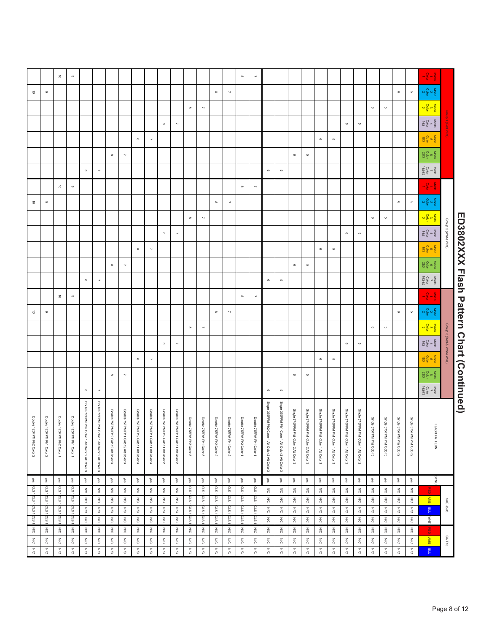|                                          | $-\frac{5}{9}$ $-\frac{5}{9}$<br>$\frac{\text{Nose}}{\text{Cob}}$                                              |                           |                                           |                           |                                |                                       |                                       |                                       |                                       |                                       |                                       |                                                   |                                                   | $\overline{\phantom{a}}$                 | $\infty$                 |                          |                          |                                                         |                          |                                      |                                      |                                      |                                                    |                                      |                                         |                                                  |                                                  | $\circ$                   |                                                                             |                               |                           |
|------------------------------------------|----------------------------------------------------------------------------------------------------------------|---------------------------|-------------------------------------------|---------------------------|--------------------------------|---------------------------------------|---------------------------------------|---------------------------------------|---------------------------------------|---------------------------------------|---------------------------------------|---------------------------------------------------|---------------------------------------------------|------------------------------------------|--------------------------|--------------------------|--------------------------|---------------------------------------------------------|--------------------------|--------------------------------------|--------------------------------------|--------------------------------------|----------------------------------------------------|--------------------------------------|-----------------------------------------|--------------------------------------------------|--------------------------------------------------|---------------------------|-----------------------------------------------------------------------------|-------------------------------|---------------------------|
|                                          |                                                                                                                |                           |                                           |                           |                                |                                       |                                       |                                       |                                       |                                       |                                       |                                                   |                                                   |                                          |                          |                          |                          |                                                         |                          |                                      |                                      |                                      |                                                    |                                      |                                         |                                                  |                                                  |                           | $\vec{\circ}$                                                               |                               |                           |
|                                          |                                                                                                                | $\mathfrak{S}$            | $\circ$                                   |                           |                                |                                       |                                       |                                       |                                       |                                       |                                       |                                                   |                                                   |                                          |                          | $\prec$                  | $_{\infty}$              |                                                         |                          |                                      |                                      |                                      |                                                    |                                      |                                         |                                                  |                                                  |                           |                                                                             | $\, \circ \,$                 | $\vec{\circ}$             |
|                                          | $\frac{1}{\sqrt{2}} \cos \frac{\theta}{2} \cos \theta$                                                         |                           |                                           | $\mathfrak{S}$            | $\circ$                        |                                       |                                       |                                       |                                       |                                       |                                       |                                                   |                                                   |                                          |                          |                          |                          | $\overline{\phantom{a}}$                                | $\infty$                 |                                      |                                      |                                      |                                                    |                                      |                                         |                                                  |                                                  |                           |                                                                             |                               |                           |
|                                          | $\begin{array}{c}\n\text{Node} \\ \text{Cobr} \\ \text{18.2}\n\end{array}$                                     |                           |                                           |                           |                                | $\mathfrak{S}$                        | $\circ$                               |                                       |                                       |                                       |                                       |                                                   |                                                   |                                          |                          |                          |                          |                                                         |                          | $\overline{\phantom{a}}$             | $_{\infty}$                          |                                      |                                                    |                                      |                                         |                                                  |                                                  |                           |                                                                             |                               |                           |
|                                          | $\frac{\text{Nog}}{\text{G}}$ is $\frac{\text{Nog}}{\text{d}}$                                                 |                           |                                           |                           |                                |                                       |                                       | $\mathfrak{S}$                        | $\circ$                               |                                       |                                       |                                                   |                                                   |                                          |                          |                          |                          |                                                         |                          |                                      |                                      | $\overline{\phantom{a}}$             | $_{\infty}$                                        |                                      |                                         |                                                  |                                                  |                           |                                                                             |                               |                           |
|                                          | $\begin{array}{c} \text{Mode} \\ \text{Cobr} \\ \text{Cobr} \end{array}$                                       |                           |                                           |                           |                                |                                       |                                       |                                       |                                       | $\mathfrak{S}$                        | $^\circ$                              |                                                   |                                                   |                                          |                          |                          |                          |                                                         |                          |                                      |                                      |                                      |                                                    | $\overline{\phantom{a}}$             | $_{\infty}$                             |                                                  |                                                  |                           |                                                                             |                               |                           |
|                                          | $\begin{array}{c}\n\text{Mode} \\ \begin{array}{c}\n\hline\n\tau \\ \hline\n\tau\n\end{array}\n\end{array}$    |                           |                                           |                           |                                |                                       |                                       |                                       |                                       |                                       |                                       | $\mathfrak{S}$                                    | $\circ$                                           |                                          |                          |                          |                          |                                                         |                          |                                      |                                      |                                      |                                                    |                                      |                                         | $\overline{\phantom{a}}$                         | $_{\infty}$                                      |                           |                                                                             |                               |                           |
|                                          | $\frac{1}{\sqrt{6}}\frac{1}{\sqrt{6}}\frac{1}{\sqrt{6}}$                                                       |                           |                                           |                           |                                |                                       |                                       |                                       |                                       |                                       |                                       |                                                   |                                                   | $\overline{\phantom{a}}$                 | $_{\infty}$              |                          |                          |                                                         |                          |                                      |                                      |                                      |                                                    |                                      |                                         |                                                  |                                                  | $\circ$                   | $\vec{\circ}$                                                               |                               |                           |
|                                          | $\frac{1}{2} \times \frac{1}{2} \times$                                                                        | $\mathfrak{S}$            | $\circ$                                   |                           |                                |                                       |                                       |                                       |                                       |                                       |                                       |                                                   |                                                   |                                          |                          | $\scriptstyle\sim$       | $_{\infty}$              |                                                         |                          |                                      |                                      |                                      |                                                    |                                      |                                         |                                                  |                                                  |                           |                                                                             | $\, \circ \,$                 | $\vec{\circ}$             |
|                                          |                                                                                                                |                           |                                           | $\mathfrak{S}$            | $\circ$                        |                                       |                                       |                                       |                                       |                                       |                                       |                                                   |                                                   |                                          |                          |                          |                          | $\overline{\phantom{a}}$                                | $_{\infty}$              |                                      |                                      |                                      |                                                    |                                      |                                         |                                                  |                                                  |                           |                                                                             |                               |                           |
| Group 2 (White Wire)                     | $\frac{\text{Mode}}{\text{482}}$                                                                               |                           |                                           |                           |                                | $\mathfrak{S}$                        | $\circ$                               |                                       |                                       |                                       |                                       |                                                   |                                                   |                                          |                          |                          |                          |                                                         |                          | $\sim$                               | $_{\infty}$                          |                                      |                                                    |                                      |                                         |                                                  |                                                  |                           |                                                                             |                               |                           |
|                                          | $\frac{\text{Model}}{\text{18.3}}$                                                                             |                           |                                           |                           |                                |                                       |                                       | $\mathfrak{S}$                        | $\circ$                               |                                       |                                       |                                                   |                                                   |                                          |                          |                          |                          |                                                         |                          |                                      |                                      | $\overline{\phantom{a}}$             | $\infty$                                           |                                      |                                         |                                                  |                                                  |                           |                                                                             |                               |                           |
|                                          |                                                                                                                |                           |                                           |                           |                                |                                       |                                       |                                       |                                       |                                       |                                       |                                                   |                                                   |                                          |                          |                          |                          |                                                         |                          |                                      |                                      |                                      |                                                    |                                      |                                         |                                                  |                                                  |                           |                                                                             |                               |                           |
|                                          | $\begin{array}{c}\n\text{Mode} \\ \text{0} \\ \text{28.3}\n\end{array}$                                        |                           |                                           |                           |                                |                                       |                                       |                                       |                                       | $\mathfrak{S}$                        | $^\circ$                              |                                                   |                                                   |                                          |                          |                          |                          |                                                         |                          |                                      |                                      |                                      |                                                    | $\overline{\phantom{a}}$             | $_{\infty}$                             |                                                  |                                                  |                           |                                                                             |                               |                           |
|                                          | $\begin{array}{ccc}\n\text{Mode} & \text{Ncode} \\ \hline\n\sigma & \text{Colar} \\ \text{18283}\n\end{array}$ |                           |                                           |                           |                                |                                       |                                       |                                       |                                       |                                       |                                       | $\mathfrak{S}$                                    | $\circ$                                           |                                          |                          |                          |                          |                                                         |                          |                                      |                                      |                                      |                                                    |                                      |                                         | $\overline{\phantom{a}}$                         | $\infty$                                         |                           |                                                                             |                               |                           |
|                                          | $\frac{1}{2} - \frac{1}{2} - \frac{1}{2}$                                                                      |                           |                                           |                           |                                |                                       |                                       |                                       |                                       |                                       |                                       |                                                   |                                                   | $\overline{\phantom{a}}$                 | $_{\infty}$              |                          |                          |                                                         |                          |                                      |                                      |                                      |                                                    |                                      |                                         |                                                  |                                                  | $\circ$                   | $\vec{o}$                                                                   |                               |                           |
|                                          | $\frac{\text{Mode}}{2} \propto \frac{1}{2} \propto$                                                            | $\mathfrak{S}$            | $\circ$                                   |                           |                                |                                       |                                       |                                       |                                       |                                       |                                       |                                                   |                                                   |                                          |                          | $\overline{\phantom{a}}$ | $_{\infty}$              |                                                         |                          |                                      |                                      |                                      |                                                    |                                      |                                         |                                                  |                                                  |                           |                                                                             | $\circ$                       | $\vec{\circ}$             |
|                                          |                                                                                                                |                           |                                           | $\mathfrak{S}$            | $\circ$                        |                                       |                                       |                                       |                                       |                                       |                                       |                                                   |                                                   |                                          |                          |                          |                          | $\overline{\phantom{a}}$                                | $_{\infty}$              |                                      |                                      |                                      |                                                    |                                      |                                         |                                                  |                                                  |                           |                                                                             |                               |                           |
| Group 3 (Red & White Wire)               | $\frac{\text{Nog}}{\text{d} \times \text{Nog}}$                                                                |                           |                                           |                           |                                | G                                     | $\circ$                               |                                       |                                       |                                       |                                       |                                                   |                                                   |                                          |                          |                          |                          |                                                         |                          | $\overline{\phantom{a}}$             | $_{\infty}$                          |                                      |                                                    |                                      |                                         |                                                  |                                                  |                           |                                                                             |                               |                           |
|                                          | $\frac{\text{Note}}{\text{c}}$                                                                                 |                           |                                           |                           |                                |                                       |                                       | $\mathfrak{S}$                        | $\circ$                               |                                       |                                       |                                                   |                                                   |                                          |                          |                          |                          |                                                         |                          |                                      |                                      | $\overline{\phantom{a}}$             | $_{\infty}$                                        |                                      |                                         |                                                  |                                                  |                           |                                                                             |                               |                           |
|                                          | $\begin{array}{c}\n\text{Mode} \\ \text{E} \\ \text{Colar} \\ \text{28.3}\n\end{array}$                        |                           |                                           |                           |                                |                                       |                                       |                                       |                                       | $\mathfrak{S}$                        | $^\circ$                              |                                                   |                                                   |                                          |                          |                          |                          |                                                         |                          |                                      |                                      |                                      |                                                    | $\overline{\phantom{a}}$             | $_{\infty}$                             |                                                  |                                                  |                           |                                                                             |                               |                           |
|                                          | $\begin{array}{c} \text{Mode} \\ \text{Cobr} \\ \text{Cobr} \end{array}$                                       |                           |                                           |                           |                                |                                       |                                       |                                       |                                       |                                       |                                       | $\,$                                              | $\circ$                                           |                                          |                          |                          |                          |                                                         |                          |                                      |                                      |                                      |                                                    |                                      |                                         | $\overline{\phantom{a}}$                         | $_{\infty}$                                      |                           |                                                                             |                               |                           |
| ED3802XXX Hash Pattern Chart (Continued) |                                                                                                                |                           |                                           |                           |                                |                                       |                                       |                                       |                                       |                                       |                                       |                                                   |                                                   |                                          |                          |                          |                          |                                                         |                          |                                      |                                      |                                      |                                                    |                                      |                                         |                                                  |                                                  |                           |                                                                             |                               |                           |
|                                          |                                                                                                                |                           |                                           |                           |                                |                                       |                                       |                                       |                                       |                                       |                                       | Single 375FPM Ph1 Color 1 Alt Color 2 Alt Color 3 | Single 375FPM Ph2 Color 1 Alt Color 2 Alt Color 3 |                                          |                          |                          |                          |                                                         |                          |                                      |                                      |                                      |                                                    |                                      |                                         | Double 75FPM Ph1 Color 1 Alt Color 2 Alt Color 3 | Double 75FPM Ph2 Color 1 Alt Color 2 Alt Color 3 |                           |                                                                             |                               |                           |
|                                          |                                                                                                                | Single 375FPM Ph1 Color 2 | Single 375FPM Ph2 Color 2                 | Single 375FPM Ph1 Color 3 | Single 375FPM Ph2 Color 3      | Single 375FPM Ph1 Color 1 Alt Color 2 | Single 375FPM Ph2 Color 1 Alt Color 2 | Single 375FPM Ph1 Color 1 Alt Color 3 | Single 375FPM Ph2 Color 1 Alt Color 3 | Single 375FPM Ph1 Color 2 Alt Color 3 | Single 375FPM Ph2 Color 2 Alt Color 3 |                                                   |                                                   | Double 75FPM Ph1 Color 1                 | Double 75FPM Ph2 Color 1 | Double 75FPM Ph1 Color 2 | Double 75FPM Ph2 Color 2 | Double 75FPM Ph1 Color 3                                | Double 75FPM Ph2 Color 3 | Double 75FPM Ph1 Color 1 Alt Color 2 | Double 75FPM Ph2 Color 1 Alt Color 2 | Double 75FPM Ph1 Color 1 Alt Color 3 | Double 75FPM Ph2 Color 1 Alt Color 3               | Double 75FPM Ph1 Color 2 Alt Color 3 | Double 75FPM Ph2 Color 2 Alt Color 3    |                                                  |                                                  | Double 120FPM Ph1 Color 1 | Double 120FPM Ph2 Color 1                                                   | Double 120FPM Ph1 Color 2     | Double 120FPM Ph2 Color 2 |
| FLASH PATTERN                            |                                                                                                                |                           |                                           |                           |                                |                                       |                                       |                                       |                                       |                                       |                                       |                                                   |                                                   |                                          |                          |                          |                          |                                                         |                          |                                      |                                      |                                      |                                                    |                                      |                                         |                                                  |                                                  |                           |                                                                             |                               |                           |
|                                          |                                                                                                                |                           |                                           |                           |                                |                                       |                                       |                                       |                                       |                                       |                                       |                                                   |                                                   |                                          |                          |                          |                          |                                                         |                          |                                      |                                      |                                      |                                                    |                                      |                                         |                                                  |                                                  |                           |                                                                             |                               |                           |
|                                          |                                                                                                                |                           |                                           |                           |                                |                                       |                                       |                                       |                                       |                                       |                                       |                                                   |                                                   |                                          |                          |                          |                          |                                                         |                          |                                      |                                      |                                      |                                                    |                                      |                                         |                                                  |                                                  |                           |                                                                             |                               |                           |
| SYNG                                     | る                                                                                                              | yes<br>$\lessapprox$      | yes<br>$\lessapprox$                      | yes<br>$\lessapprox$      | yes<br>$\tilde{\varepsilon}$   | yes<br>$\lessapprox$                  | yes<br>$\lessapprox$                  | yes<br>$\lessapprox$                  | yes<br>$\lessapprox$                  | yes<br>$\tilde{\mathbf{S}}$           | $\sqrt{6}$<br>$\lessapprox$           | yes<br>$\lessapprox$                              | yes<br>$\lesssim$                                 | wes<br>cLS.                              | yes<br>CLS1              | yes<br>CLS1              | yes<br>CLS1              | yes<br>cLS.                                             | yes<br>cLS               | yes<br>$\lessapprox$                 | yes<br>$\lessapprox$                 | yes<br>$\lessapprox$                 | yes<br>$\mathop{\mathbb{R}}\limits_{{\mathbb{C}}}$ | yes<br>$\lessapprox$                 | yes<br>$\lessapprox$                    | yes<br>$\lessapprox$                             | $\sqrt{e}$<br>$\lesssim$                         | yes<br>cLS                | yes<br>crs                                                                  | wes<br>crs                    | yes                       |
|                                          | AMB                                                                                                            | N/C                       | ΜC                                        | N/C                       | $\lesssim$                     | $\lesssim$                            | N/C                                   | ΜC                                    | $\lesssim$                            | $\lesssim$                            | $\leq$                                | ΜC                                                | N/C                                               | cLS.                                     | cLS1                     |                          |                          | cLS1                                                    | c.s                      | $\mathop{\rm SO}\nolimits$           | N/C                                  | $\leqslant$                          | N/C                                                | $\leq$                               | $\leqslant$                             | $\leqslant$                                      | N/C                                              | cLS.                      | cLS1                                                                        |                               | cLs 1 aLs 1 cLs 1 aLs 1   |
| <b>SAE J595</b>                          | $\overline{a}$                                                                                                 | $\lessapprox$             | $\lesssim$                                | $\frac{2}{5}$             | $\lessapprox$                  | $\lessapprox$                         | $\lesssim$                            | $\frac{1}{\sqrt{2}}$                  | $\lessapprox$                         | $\frac{2}{5}$                         | $\frac{1}{2}$                         | $\lesssim$                                        | $\lessapprox$                                     | cLS10LS                                  | $\frac{1}{2}$            | as 1 cus 1 cus 1         | cLs 1 cLs 1 cLs          | CLS1                                                    | $cos 1$ <sub>d</sub> and | $\lesssim$                           | $\lesssim$                           | $\frac{1}{\sqrt{2}}$                 | $\lessapprox$                                      | $\lessapprox$                        | $\lessapprox$                           | $\frac{1}{\sqrt{2}}$                             | $\lessapprox$                                    | CLS1                      | crs1 crs1                                                                   | cLs 1 cLs 1 cLs               |                           |
|                                          | $\frac{1}{2}$                                                                                                  | $\leqslant$               | $\frac{1}{\sqrt{2}}$                      | $\lesssim$                | $\frac{2}{\tilde{O}}$          | $\frac{1}{\sqrt{2}}$                  | N/C                                   | $\frac{1}{2}$                         | $\frac{1}{2}$                         | $\frac{2}{\sqrt{2}}$                  | $\frac{1}{\sqrt{2}}$                  | $\frac{1}{\sqrt{2}}$                              | $\frac{1}{2}$                                     |                                          | cLs.                     |                          |                          | cLS1                                                    |                          | $\frac{1}{\sqrt{2}}$                 | $\frac{2}{5}$                        | $\frac{1}{\sqrt{2}}$                 | $\leqslant$                                        | $\lessapprox$                        | $\frac{1}{\sqrt{2}}$                    | $\frac{1}{\sqrt{2}}$                             | $\frac{1}{\sqrt{2}}$                             | c.s                       |                                                                             |                               |                           |
|                                          | 쯺                                                                                                              | $\leqslant$               | $\stackrel{\textsf{X}}{\scriptstyle\cap}$ | $\leq$                    | $\lessapprox$                  | $\lesssim$                            | $\leq$                                | $\lesssim$                            | $\leqslant$                           | $\frac{2}{5}$                         | $\leq$                                | $\lesssim$                                        | $\leqslant$                                       | $\lesssim$                               | $\frac{2}{5}$            | $\frac{1}{20}$           | N/C                      | $\mathop{\gtrless}\limits_{{\mathop{\widehat{\rm O}}}}$ | $\lesssim$               | $\lessapprox$                        | $\leq$                               | $\leqslant$                          | $\leq$                                             | $\leq$                               | $\frac{2}{5}$                           | $\lesssim$                                       | $\leqslant$                                      | N/C                       | $\frac{2}{5}$                                                               | $\leq$                        | $\frac{1}{\sqrt{2}}$      |
| CAT13                                    | <b>AMB</b><br>$n_{\rm H}$                                                                                      | $\lesssim$<br>$\lesssim$  | N/C<br>$\lesssim$                         | $\leqslant$<br>$\lesssim$ | $\lessapprox$<br>$\lessapprox$ | N/C<br>$\leqslant$                    | $\lesssim$<br>$\leq$                  | $\lesssim$<br>$\frac{1}{20}$          | $\lesssim$<br>$\lesssim$              | $\leqslant$<br>$\frac{2}{\tilde{O}}$  | N/C<br>$\lesssim$                     | $\lesssim$<br>$\frac{1}{20}$                      | $\lesssim$<br>$\leqslant$                         | $\mathop{\rm SO}\nolimits$<br>$\lesssim$ | $\lesssim$<br>$\lesssim$ | $\leq$<br>$\lesssim$     | N/C<br>$\lesssim$        | N/C<br>$\frac{1}{20}$                                   | $\lesssim$<br>$\lesssim$ | $\geqslant$<br>$\lesssim$            | $\lesssim$<br>$\lesssim$             | $\leqslant$<br>ΜC                    | N/C<br>$\lesssim$                                  | $\leq$<br>$\lesssim$                 | $\mathbb{N}^{\mathbb{C}}$<br>$\lesssim$ | $\lesssim$<br>$\lesssim$                         | N/C<br>$\frac{1}{2}$                             | N/C<br>$\lesssim$         | $\mathop{\gtrless}\limits_{\mathop{\mathcal{O}}\nolimits}$<br>$\lessapprox$ | $\frac{1}{20}$<br>$\leqslant$ | ΜČ<br>$\frac{1}{20}$      |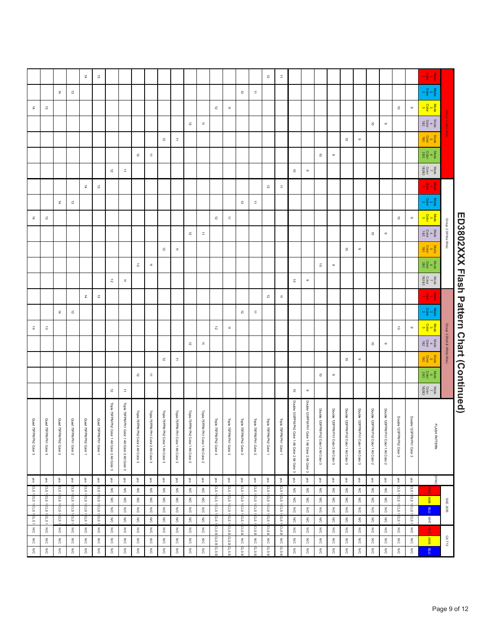|                         |                        |                         |                        | $\vec{a}$              | ಹ                        |                                                  |                                                                                    |                                                    |                                                                                                                                                                                                                                                                                                                                                                                                                                                                                                                                                                                                                                                                                                               |                                      |                                                                                   |                                       |                                                                     |                          |                                             |                                   |                                    | $\vec{\tilde{\nu}}$           | $\ensuremath{\vec{=}}$                                                            |                                                   |                                                   |                                       |                                       |                                       |                                       |                                                 |                                       |                           |                           | $-\frac{5}{9}$ $-\frac{5}{9}$                                                                                  |                            |                                          |
|-------------------------|------------------------|-------------------------|------------------------|------------------------|--------------------------|--------------------------------------------------|------------------------------------------------------------------------------------|----------------------------------------------------|---------------------------------------------------------------------------------------------------------------------------------------------------------------------------------------------------------------------------------------------------------------------------------------------------------------------------------------------------------------------------------------------------------------------------------------------------------------------------------------------------------------------------------------------------------------------------------------------------------------------------------------------------------------------------------------------------------------|--------------------------------------|-----------------------------------------------------------------------------------|---------------------------------------|---------------------------------------------------------------------|--------------------------|---------------------------------------------|-----------------------------------|------------------------------------|-------------------------------|-----------------------------------------------------------------------------------|---------------------------------------------------|---------------------------------------------------|---------------------------------------|---------------------------------------|---------------------------------------|---------------------------------------|-------------------------------------------------|---------------------------------------|---------------------------|---------------------------|----------------------------------------------------------------------------------------------------------------|----------------------------|------------------------------------------|
|                         |                        | $\vec{a}$               | ಹ                      |                        |                          |                                                  |                                                                                    |                                                    |                                                                                                                                                                                                                                                                                                                                                                                                                                                                                                                                                                                                                                                                                                               |                                      |                                                                                   |                                       |                                                                     |                          |                                             | $\vec{\tilde{\omega}}$            | $\Rightarrow$                      |                               |                                                                                   |                                                   |                                                   |                                       |                                       |                                       |                                       |                                                 |                                       |                           |                           | $\frac{\text{Mode}}{\text{Cob}}$                                                                               |                            |                                          |
| $\vec{a}$               | $\vec{\omega}$         |                         |                        |                        |                          |                                                  |                                                                                    |                                                    |                                                                                                                                                                                                                                                                                                                                                                                                                                                                                                                                                                                                                                                                                                               |                                      |                                                                                   |                                       |                                                                     | $\vec{\sim}$             | $\ensuremath{\Xi}$                          |                                   |                                    |                               |                                                                                   |                                                   |                                                   |                                       |                                       |                                       |                                       |                                                 |                                       | $\vec{\bullet}$           | $\circ$                   |                                                                                                                |                            |                                          |
|                         |                        |                         |                        |                        |                          |                                                  |                                                                                    |                                                    |                                                                                                                                                                                                                                                                                                                                                                                                                                                                                                                                                                                                                                                                                                               |                                      |                                                                                   | $\vec{\tilde{\omega}}$                | $\ensuremath{\mathop{\mathbb{D}}\nolimits}$                         |                          |                                             |                                   |                                    |                               |                                                                                   |                                                   |                                                   |                                       |                                       |                                       |                                       | $\vec{0}$                                       | $\,$                                  |                           |                           | $\begin{array}{c}\n\text{Node} \\ \text{Cobr} \\ \text{18.2}\n\end{array}$                                     |                            |                                          |
|                         |                        |                         |                        |                        |                          |                                                  |                                                                                    |                                                    |                                                                                                                                                                                                                                                                                                                                                                                                                                                                                                                                                                                                                                                                                                               | $\vec{\sim}$                         | $\ensuremath{\mathrel{\mathop{\boxplus}}\limits^{\scriptscriptstyle\rightarrow}}$ |                                       |                                                                     |                          |                                             |                                   |                                    |                               |                                                                                   |                                                   |                                                   |                                       |                                       | $\vec{\circ}$                         | $\circ$                               |                                                 |                                       |                           |                           | $\frac{\text{Nog}}{\text{G}}$                                                                                  |                            |                                          |
|                         |                        |                         |                        |                        |                          |                                                  |                                                                                    | $\vec{\tilde{\omega}}$                             | $\ensuremath{\mathrel{\mathop{\boxplus}}\limits^{\scriptscriptstyle\rightarrow}}$                                                                                                                                                                                                                                                                                                                                                                                                                                                                                                                                                                                                                             |                                      |                                                                                   |                                       |                                                                     |                          |                                             |                                   |                                    |                               |                                                                                   |                                                   |                                                   | $\vec{\circ}$                         | $_{\circ}$                            |                                       |                                       |                                                 |                                       |                           |                           | $\begin{array}{c}\n\text{Mode} \\ \text{Cobr} \\ \text{28.3}\n\end{array}$                                     |                            |                                          |
|                         |                        |                         |                        |                        |                          | $\vec{z}$                                        | $\ensuremath{\mathrel{\mathop{\boxplus}}\limits^{\scriptscriptstyle \rightarrow}}$ |                                                    |                                                                                                                                                                                                                                                                                                                                                                                                                                                                                                                                                                                                                                                                                                               |                                      |                                                                                   |                                       |                                                                     |                          |                                             |                                   |                                    |                               |                                                                                   | $\vec{\circ}$                                     | $\circ$                                           |                                       |                                       |                                       |                                       |                                                 |                                       |                           |                           | $\begin{array}{c}\n\text{Mode} \\ \begin{array}{c}\n\text{Cotor} \\ \text{R}2.863\n\end{array}\n\end{array}$   |                            |                                          |
|                         |                        |                         |                        | $\vec{a}$              | ಹ                        |                                                  |                                                                                    |                                                    |                                                                                                                                                                                                                                                                                                                                                                                                                                                                                                                                                                                                                                                                                                               |                                      |                                                                                   |                                       |                                                                     |                          |                                             |                                   |                                    | $\vec{\tilde{\nu}}$           | $\vec{\Xi}$                                                                       |                                                   |                                                   |                                       |                                       |                                       |                                       |                                                 |                                       |                           |                           | $\frac{1}{\sqrt{6}}\frac{1}{\sqrt{6}}\frac{1}{\sqrt{6}}$                                                       |                            |                                          |
|                         |                        | $\vec{a}$               | ಹ                      |                        |                          |                                                  |                                                                                    |                                                    |                                                                                                                                                                                                                                                                                                                                                                                                                                                                                                                                                                                                                                                                                                               |                                      |                                                                                   |                                       |                                                                     |                          |                                             | $\vec{\sim}$                      | $\Rightarrow$                      |                               |                                                                                   |                                                   |                                                   |                                       |                                       |                                       |                                       |                                                 |                                       |                           |                           | $\frac{1}{2} \times \frac{1}{2} \times \frac{1}{2}$                                                            |                            |                                          |
| $\vec{a}$               | $\vec{\omega}$         |                         |                        |                        |                          |                                                  |                                                                                    |                                                    |                                                                                                                                                                                                                                                                                                                                                                                                                                                                                                                                                                                                                                                                                                               |                                      |                                                                                   |                                       |                                                                     | $\vec{\sim}$             | $\ensuremath{\Xi}$                          |                                   |                                    |                               |                                                                                   |                                                   |                                                   |                                       |                                       |                                       |                                       |                                                 |                                       | $\vec{\circ}$             | $\circ$                   |                                                                                                                |                            |                                          |
|                         |                        |                         |                        |                        |                          |                                                  |                                                                                    |                                                    |                                                                                                                                                                                                                                                                                                                                                                                                                                                                                                                                                                                                                                                                                                               |                                      |                                                                                   | $\vec{\tilde{\omega}}$                | $\ensuremath{\mathop{\mathbb{Z}}\nolimits}$                         |                          |                                             |                                   |                                    |                               |                                                                                   |                                                   |                                                   |                                       |                                       |                                       |                                       | $\vec{0}$                                       | $\,$                                  |                           |                           | $\frac{\text{Mode}}{\text{482}}$                                                                               | Group 2 (White Wire)       |                                          |
|                         |                        |                         |                        |                        |                          |                                                  |                                                                                    |                                                    |                                                                                                                                                                                                                                                                                                                                                                                                                                                                                                                                                                                                                                                                                                               | $\vec{\sim}$                         | $\ensuremath{\Xi}$                                                                |                                       |                                                                     |                          |                                             |                                   |                                    |                               |                                                                                   |                                                   |                                                   |                                       |                                       | $\vec{\circ}$                         | $\circ$                               |                                                 |                                       |                           |                           | $\frac{\text{Model}}{\text{18.3}}$                                                                             |                            |                                          |
|                         |                        |                         |                        |                        |                          |                                                  |                                                                                    | ನ                                                  | $\vec{\Xi}$                                                                                                                                                                                                                                                                                                                                                                                                                                                                                                                                                                                                                                                                                                   |                                      |                                                                                   |                                       |                                                                     |                          |                                             |                                   |                                    |                               |                                                                                   |                                                   |                                                   | $\vec{\circ}$                         | $\, \circ \,$                         |                                       |                                       |                                                 |                                       |                           |                           | $\begin{array}{c}\n\text{Mode} \\ \text{0} \\ \text{28.3}\n\end{array}$                                        |                            |                                          |
|                         |                        |                         |                        |                        |                          | $\vec{\tilde{\nu}}$                              | $\ensuremath{\mathop{\mathbb{E}}\nolimits}$                                        |                                                    |                                                                                                                                                                                                                                                                                                                                                                                                                                                                                                                                                                                                                                                                                                               |                                      |                                                                                   |                                       |                                                                     |                          |                                             |                                   |                                    |                               |                                                                                   | $\vec{\circ}$                                     | $\circ$                                           |                                       |                                       |                                       |                                       |                                                 |                                       |                           |                           | $\begin{array}{ccc}\n\text{Mode} & \text{Ncode} \\ \hline\n\sigma & \text{Colar} \\ \text{18283}\n\end{array}$ |                            |                                          |
|                         |                        |                         |                        | $\vec{a}$              | $\vec{\omega}$           |                                                  |                                                                                    |                                                    |                                                                                                                                                                                                                                                                                                                                                                                                                                                                                                                                                                                                                                                                                                               |                                      |                                                                                   |                                       |                                                                     |                          |                                             |                                   |                                    | $\vec{\tilde{\omega}}$        | $\ensuremath{\mathrel{\mathop:}\hspace{-0.5ex}\mathrel{\mathop:}\hspace{-0.5ex}}$ |                                                   |                                                   |                                       |                                       |                                       |                                       |                                                 |                                       |                           |                           | $\frac{1}{2} - \frac{1}{2} - \frac{1}{2}$                                                                      |                            |                                          |
|                         |                        | $\vec{a}$               | $\vec{\omega}$         |                        |                          |                                                  |                                                                                    |                                                    |                                                                                                                                                                                                                                                                                                                                                                                                                                                                                                                                                                                                                                                                                                               |                                      |                                                                                   |                                       |                                                                     |                          |                                             | $\vec{\tilde{\omega}}$            | $\Rightarrow$                      |                               |                                                                                   |                                                   |                                                   |                                       |                                       |                                       |                                       |                                                 |                                       |                           |                           | $\frac{\text{Mode}}{2} \propto \frac{1}{2} \propto$                                                            |                            |                                          |
| $\vec{a}$               | $\vec{\omega}$         |                         |                        |                        |                          |                                                  |                                                                                    |                                                    |                                                                                                                                                                                                                                                                                                                                                                                                                                                                                                                                                                                                                                                                                                               |                                      |                                                                                   |                                       |                                                                     | $\vec{\sim}$             | $\ensuremath{\mathop{\mathbb{Z}}\nolimits}$ |                                   |                                    |                               |                                                                                   |                                                   |                                                   |                                       |                                       |                                       |                                       |                                                 |                                       | $\vec{\circ}$             | $\circ$                   |                                                                                                                |                            |                                          |
|                         |                        |                         |                        |                        |                          |                                                  |                                                                                    |                                                    |                                                                                                                                                                                                                                                                                                                                                                                                                                                                                                                                                                                                                                                                                                               |                                      |                                                                                   | $\vec{\kappa}$                        | $\ensuremath{\mathop{\mathbb{E}}\nolimits}$                         |                          |                                             |                                   |                                    |                               |                                                                                   |                                                   |                                                   |                                       |                                       |                                       |                                       | $\vec{\circ}$                                   | $\,$                                  |                           |                           | $\frac{\text{Nog}}{\text{d} \times \text{Nog}}$                                                                | Group 3 (Red & White Wire) |                                          |
|                         |                        |                         |                        |                        |                          |                                                  |                                                                                    |                                                    |                                                                                                                                                                                                                                                                                                                                                                                                                                                                                                                                                                                                                                                                                                               | $\vec{\sim}$                         | $\ensuremath{\mathrel{\mathop{\boxplus}}\limits^{\scriptscriptstyle\rightarrow}}$ |                                       |                                                                     |                          |                                             |                                   |                                    |                               |                                                                                   |                                                   |                                                   |                                       |                                       | $\vec{\circ}$                         | $\circ$                               |                                                 |                                       |                           |                           | $\frac{\text{Note}}{\text{c}}$                                                                                 |                            |                                          |
|                         |                        |                         |                        |                        |                          |                                                  |                                                                                    | $\vec{\tilde{\omega}}$                             | $\ensuremath{\mathrel{\mathop{\boxplus}}\limits^{\scriptscriptstyle\mathop{\mathop{\boxplus}}\limits^{\scriptscriptstyle\mathop{\mathop{\boxplus}}\limits^{\scriptscriptstyle\mathop{\mathop{\boxplus}}\limits^{\scriptscriptstyle\mathop{\mathop{\boxplus}}\limits^{\scriptscriptstyle\mathop{\mathop{\boxplus}}\limits^{\scriptscriptstyle\mathop{\mathop{\boxplus}}\limits^{\scriptscriptstyle\mathop{\mathop{\boxplus}}\limits^{\scriptscriptstyle\mathop{\mathop{\boxplus}}\limits^{\scriptscriptstyle\mathop{\mathop{\boxplus}}\limits^{\scriptscriptstyle\mathop{\mathop{\boxplus}}\limits^{\scriptscriptstyle\mathop{\mathop{\boxplus}}\limits^{\scriptscriptstyle\mathop{\mathop{\boxplus}}\limits^$ |                                      |                                                                                   |                                       |                                                                     |                          |                                             |                                   |                                    |                               |                                                                                   |                                                   |                                                   | $\vec{\circ}$                         | $\, \circ \,$                         |                                       |                                       |                                                 |                                       |                           |                           | $\begin{array}{c} \text{Mode} \\ \text{d} \\ \text{Colar} \\ \text{28.3} \end{array}$                          |                            |                                          |
|                         |                        |                         |                        |                        |                          | $\vec{v}$                                        | $\vec{\Xi}$                                                                        |                                                    |                                                                                                                                                                                                                                                                                                                                                                                                                                                                                                                                                                                                                                                                                                               |                                      |                                                                                   |                                       |                                                                     |                          |                                             |                                   |                                    |                               |                                                                                   | $\vec{\circ}$                                     | $\, \circ \,$                                     |                                       |                                       |                                       |                                       |                                                 |                                       |                           |                           | $\begin{array}{c} \text{Mode} \\ \text{Cobr} \\ \text{18283} \end{array}$                                      |                            |                                          |
|                         |                        |                         |                        |                        |                          |                                                  |                                                                                    |                                                    |                                                                                                                                                                                                                                                                                                                                                                                                                                                                                                                                                                                                                                                                                                               |                                      |                                                                                   |                                       |                                                                     |                          |                                             |                                   |                                    |                               |                                                                                   |                                                   |                                                   |                                       |                                       |                                       |                                       |                                                 |                                       |                           |                           |                                                                                                                |                            | ED3802XXX Hash Pattern Chart (Continued) |
| Quad 75FPM Ph2 Color 3  | Quad 75FPM Ph1 Color 3 | Quad 75FPM Ph2 Color 2  | Quad 75FPM Ph1 Color 2 | Quad 75FPM Ph2 Color 1 | Quad 75FPM Ph1 Color 1   | Triple 75FPM Ph2 Color 1 Alt Color 2 Alt Color 3 | Triple 75FPM Ph1 Color 1 Alt Color 2 Alt Color 3                                   | Triple 75FPM Ph2 Color 2 Alt Color 3               | Triple 75FPM Ph1 Color 2 Alt Color 3                                                                                                                                                                                                                                                                                                                                                                                                                                                                                                                                                                                                                                                                          | Triple 75FPM Ph2 Color 1 Alt Color 3 | Triple 75FPM Ph1 Color 1 Alt Color 3                                              | Triple 75FPM Ph2 Color 1 Alt Color 2  | Triple 75FPM Ph1 Color 1 Alt Color 2                                | Triple 75FPM Ph2 Color 3 | Triple 75FPM Ph1 Color 3                    | Triple 75FPM Ph2 Color 2          | Triple 75FPM Ph1 Color 2           | Triple 75FPM Ph2 Color 1      | Triple 75FPM Ph1 Color 1                                                          | Double 120FPM Ph2 Color 1 Alt Color 2 Alt Color 3 | Double 120FPM Ph1 Color 1 Alt Color 2 Alt Color 3 | Double 120FPM Ph2 Color 2 Alt Color 3 | Double 120FPM Ph1 Color 2 Alt Color 3 | Double 120FPM Ph2 Color 1 Alt Color 3 | Double 120FPM Ph1 Color 1 Alt Color 3 | Double 120FPM Ph2 Color 1 Alt Color 2           | Double 120FPM Ph1 Color 1 Alt Color 2 | Double 120FPM Ph2 Color 3 | Double 120FPM Ph1 Color 3 | FLASH PATTERN                                                                                                  |                            |                                          |
| yes                     | wes                    | yes                     | yes                    | yes                    | yes                      | wes                                              | yes                                                                                | yes                                                | yes                                                                                                                                                                                                                                                                                                                                                                                                                                                                                                                                                                                                                                                                                                           | yes                                  | yes                                                                               | yes                                   | yes                                                                 | yes                      | yes                                         | yes                               | yes                                | yes                           | yes                                                                               | wes                                               | yes                                               | yes                                   | yes                                   | yes                                   | yes                                   | wes                                             | yes                                   | yes                       | yes                       | SYNG                                                                                                           |                            |                                          |
| crs 1 acs 1 acs 1 acs 1 | cLS                    | CLS<br>c.s              | <b>CLS</b><br>cLS.     | cLS<br>cLS1            | crs 1 ars 1 ars 1 ars 1  | $\lessapprox$<br>N/C                             | $\lessapprox$<br>$\leq$                                                            | $\mathop{\mathbb{R}}\limits_{{\mathbb{C}}}$<br>N/C | $\lessapprox$<br>$\leqslant$                                                                                                                                                                                                                                                                                                                                                                                                                                                                                                                                                                                                                                                                                  | $\lessapprox$<br>N/C                 | $\lessapprox$<br>$\leq$                                                           | $\lessapprox$<br>$\lesssim$           | $\lessapprox$<br>$\leq$                                             | CLS1                     | CLS1                                        | CLS1<br>cLS1                      | cLS.<br>cLS.                       | cLS1<br>cLS1                  | cLS1<br>cLS1                                                                      | $\lessapprox$<br>$\leqslant$                      | $\lessapprox$<br>$\lesssim$                       | $\lesssim$<br>$\lesssim$              | $\lessapprox$<br>ΜC                   | $\lessapprox$<br>N/C                  | $\lessapprox$<br>$\lesssim$           | $\lessapprox$<br>$\lesssim$                     | $\lesssim$<br>N/C                     | cLS.<br>cLS1              | CLS1<br>cLS1              | AMB                                                                                                            |                            |                                          |
|                         | as 1 alors 1 alors     | crs1 crs1               | cLS1<br>crs.           | CLS1<br>cLS.           |                          | $\lesssim$<br>$\frac{1}{\sqrt{2}}$               | $\lessapprox$                                                                      | $\lessapprox$                                      | $\frac{1}{\sqrt{2}}$                                                                                                                                                                                                                                                                                                                                                                                                                                                                                                                                                                                                                                                                                          | $\lesssim$                           | $\lesssim$                                                                        | $\frac{2}{5}$<br>$\frac{1}{\sqrt{2}}$ | $\mathop{\mathsf{S}}\limits_{{\mathsf{O}}}$<br>$\frac{1}{\sqrt{2}}$ | cLs 1 cLs 1 cLs 1        | as 1 cus 1 cus 1                            | cLs 1 cLs 1                       | cLs 1 aLs                          | CLS1<br>cLS1                  | cLs10LS1                                                                          | $\lesssim$                                        | $\frac{2}{5}$                                     | $\lessapprox$<br>$\frac{1}{2}$        | $\frac{1}{\sqrt{2}}$                  | $\lesssim$<br>N/C                     | $\lessapprox$                         | $\lessapprox$                                   | $\lesssim$                            | CLS1<br>c.s               | cLs 1 pLS 1               | $\overline{a}$<br>$\frac{1}{2}$                                                                                | SAE J595                   |                                          |
| ΜČ                      | $\leqslant$            | $\frac{2}{5}$           | N/C                    | $\leqslant$            | $\leqslant$              | $\leq$                                           | $\lesssim$<br>$\leq$                                                               | $\leqslant$<br>$\leq$                              | $\frac{1}{\sqrt{2}}$<br>$\leq$                                                                                                                                                                                                                                                                                                                                                                                                                                                                                                                                                                                                                                                                                | $\frac{2}{5}$<br>$\leq$              | $\frac{1}{\sqrt{2}}$<br>$\lessapprox$                                             | $\lesssim$                            | ΜC                                                                  |                          |                                             | crsB                              | CLSB                               | <b>GLS</b>                    | CLS B                                                                             | $\frac{1}{\sqrt{2}}$<br>$\lesssim$                | $\frac{2}{\sqrt{2}}$<br>$\lessapprox$             | $\leqslant$                           | $\frac{1}{\sqrt{2}}$<br>$\lesssim$    | $\leq$                                | $\frac{1}{\sqrt{2}}$<br>$\lesssim$    | $\frac{2}{\tilde{O}}$<br>$\lessapprox$          | $\lesssim$<br>$\leq$                  | $\leqslant$               | N/C                       |                                                                                                                |                            |                                          |
| $\frac{1}{20}$<br>N/C   | N/C<br>$\frac{1}{20}$  | $\leq$<br>$\lessapprox$ | N/C<br>$\lesssim$      | N/C<br>ΜC              | $\leq$<br>$\frac{1}{20}$ | N/C<br>$\leq$                                    | $\leq$<br>$\lesssim$                                                               | N/C<br>$\lesssim$                                  | N/C<br>ΜC                                                                                                                                                                                                                                                                                                                                                                                                                                                                                                                                                                                                                                                                                                     | $\lesssim$<br>$\lesssim$             | $\geqslant$<br>$\frac{8}{5}$                                                      | $\lesssim$<br>$\lesssim$              | N/C<br>$\frac{1}{20}$                                               | crabicrabicra            | crs a crs a<br><b>GLSB</b>                  | $\mathbb{N}^{\mathbb{C}}$<br>CLSB | $\mathop{\rm SO}\nolimits$<br>CLSB | $\frac{1}{20}$<br><b>GLSB</b> | $\sum\limits_{i=1}^N$<br>crs                                                      | N/C<br>$\lesssim$                                 | $\leqslant$<br>$\lesssim$                         | N/C<br>$\lesssim$                     | $\lesssim$<br>ΜC                      | $\lesssim$<br>$\leq$                  | N/C<br>$\leqslant$                    | $\lessapprox$<br>$\stackrel{\text{Z}}{\gtrsim}$ | $\leqslant$<br>$\lesssim$             | N/C<br>$\lesssim$         | $\lesssim$<br>$\lesssim$  | <b>AMB</b><br>$n_{\rm H}$                                                                                      | CAT13                      |                                          |
|                         |                        |                         |                        |                        |                          |                                                  |                                                                                    |                                                    |                                                                                                                                                                                                                                                                                                                                                                                                                                                                                                                                                                                                                                                                                                               |                                      |                                                                                   |                                       |                                                                     |                          |                                             |                                   |                                    |                               |                                                                                   |                                                   |                                                   |                                       |                                       |                                       |                                       |                                                 |                                       |                           |                           |                                                                                                                |                            |                                          |
|                         |                        |                         |                        |                        |                          |                                                  |                                                                                    |                                                    |                                                                                                                                                                                                                                                                                                                                                                                                                                                                                                                                                                                                                                                                                                               |                                      |                                                                                   |                                       |                                                                     |                          |                                             |                                   |                                    |                               |                                                                                   |                                                   |                                                   |                                       |                                       |                                       |                                       |                                                 |                                       |                           |                           |                                                                                                                |                            |                                          |
|                         |                        |                         |                        |                        |                          |                                                  |                                                                                    |                                                    |                                                                                                                                                                                                                                                                                                                                                                                                                                                                                                                                                                                                                                                                                                               |                                      |                                                                                   |                                       |                                                                     |                          |                                             |                                   |                                    |                               |                                                                                   |                                                   |                                                   |                                       |                                       |                                       |                                       |                                                 |                                       |                           |                           |                                                                                                                |                            |                                          |
|                         |                        |                         |                        |                        |                          |                                                  |                                                                                    |                                                    |                                                                                                                                                                                                                                                                                                                                                                                                                                                                                                                                                                                                                                                                                                               |                                      |                                                                                   |                                       |                                                                     |                          |                                             |                                   |                                    |                               |                                                                                   |                                                   |                                                   |                                       |                                       |                                       |                                       |                                                 |                                       |                           |                           |                                                                                                                |                            | Page 9 of 12                             |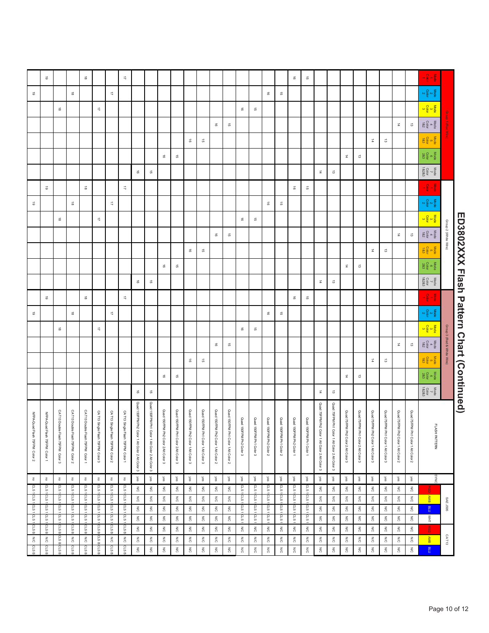|                                          |                            | $-\frac{5}{9}$ $-\frac{5}{9}$                                                                                                                                                                                                                                                                                                                                                                                                                                      |                                                            |                                           |                                              |                                                            |                                        |                                                                 |                                                                                         |                                                | $\vec{\sigma}$       | $\vec{\circ}$                       |                                     |                                 |                                 |                                       |                                     |                                     |                                                  |                                     |                                     |                                     |                                                 |                                                                                                                                                                  | $\overrightarrow{\phantom{a}}$            |                                  |                                    | $\vec{a}$                                                     |                                              |                                  | $\vec{\circ}$                          |                                                                  |
|------------------------------------------|----------------------------|--------------------------------------------------------------------------------------------------------------------------------------------------------------------------------------------------------------------------------------------------------------------------------------------------------------------------------------------------------------------------------------------------------------------------------------------------------------------|------------------------------------------------------------|-------------------------------------------|----------------------------------------------|------------------------------------------------------------|----------------------------------------|-----------------------------------------------------------------|-----------------------------------------------------------------------------------------|------------------------------------------------|----------------------|-------------------------------------|-------------------------------------|---------------------------------|---------------------------------|---------------------------------------|-------------------------------------|-------------------------------------|--------------------------------------------------|-------------------------------------|-------------------------------------|-------------------------------------|-------------------------------------------------|------------------------------------------------------------------------------------------------------------------------------------------------------------------|-------------------------------------------|----------------------------------|------------------------------------|---------------------------------------------------------------|----------------------------------------------|----------------------------------|----------------------------------------|------------------------------------------------------------------|
|                                          |                            | $\frac{\text{Nog}}{\text{2}} \propto \frac{1}{2} \text{N}$                                                                                                                                                                                                                                                                                                                                                                                                         |                                                            |                                           |                                              |                                                            |                                        |                                                                 |                                                                                         |                                                |                      |                                     | $\vec{\sigma}$                      | $\vec{\circ}$                   |                                 |                                       |                                     |                                     |                                                  |                                     |                                     |                                     |                                                 |                                                                                                                                                                  |                                           | $\overrightarrow{\mathbf{u}}$    |                                    |                                                               | $\vec{\circ}$                                |                                  |                                        | $\vec{\circ}$                                                    |
|                                          |                            |                                                                                                                                                                                                                                                                                                                                                                                                                                                                    |                                                            |                                           |                                              |                                                            |                                        |                                                                 |                                                                                         |                                                |                      |                                     |                                     |                                 | $\overrightarrow{\mathbf{G}}$   | $\vec{0}$                             |                                     |                                     |                                                  |                                     |                                     |                                     |                                                 |                                                                                                                                                                  |                                           |                                  | $\overrightarrow{\mathcal{L}}$     |                                                               |                                              | $\vec{a}$                        |                                        |                                                                  |
|                                          |                            | $\begin{array}{c} \text{Mode} \\ \text{Cobr} \\ \text{Cobr} \end{array}$                                                                                                                                                                                                                                                                                                                                                                                           | $\vec{\omega}$                                             | $\vec{a}$                                 |                                              |                                                            |                                        |                                                                 |                                                                                         |                                                |                      |                                     |                                     |                                 |                                 |                                       | $\vec{\sigma}$                      | $\vec{a}$                           |                                                  |                                     |                                     |                                     |                                                 |                                                                                                                                                                  |                                           |                                  |                                    |                                                               |                                              |                                  |                                        |                                                                  |
|                                          |                            | Mode<br>Color<br>183                                                                                                                                                                                                                                                                                                                                                                                                                                               |                                                            |                                           | $\vec{\omega}$                               | $\vec{a}$                                                  |                                        |                                                                 |                                                                                         |                                                |                      |                                     |                                     |                                 |                                 |                                       |                                     |                                     | G,                                               | $\vec{\circ}$                       |                                     |                                     |                                                 |                                                                                                                                                                  |                                           |                                  |                                    |                                                               |                                              |                                  |                                        |                                                                  |
|                                          |                            | $\begin{array}{c}\n\text{Node} \\ \text{E} \\ \text{Qol} \\ \text{28.3}\n\end{array}$                                                                                                                                                                                                                                                                                                                                                                              |                                                            |                                           |                                              |                                                            | ಪ                                      | $\overrightarrow{a}$                                            |                                                                                         |                                                |                      |                                     |                                     |                                 |                                 |                                       |                                     |                                     |                                                  |                                     | क्रे                                | ಹ                                   |                                                 |                                                                                                                                                                  |                                           |                                  |                                    |                                                               |                                              |                                  |                                        |                                                                  |
|                                          |                            | $\begin{array}{c}\n\text{Mode} \\ \hline\n\sigma \\ \hline\n\sigma\n\end{array}$                                                                                                                                                                                                                                                                                                                                                                                   |                                                            |                                           |                                              |                                                            |                                        |                                                                 | $\vec{\omega}$                                                                          | $\vec{\mathbf{a}}$                             |                      |                                     |                                     |                                 |                                 |                                       |                                     |                                     |                                                  |                                     |                                     |                                     | $\vec{\mathfrak{G}}$                            | $\vec{\circ}$                                                                                                                                                    |                                           |                                  |                                    |                                                               |                                              |                                  |                                        |                                                                  |
|                                          |                            | $-\frac{5}{9} - \frac{5}{9}$                                                                                                                                                                                                                                                                                                                                                                                                                                       |                                                            |                                           |                                              |                                                            |                                        |                                                                 |                                                                                         |                                                | $\vec{\sigma}$       | $\vec{\circ}$                       |                                     |                                 |                                 |                                       |                                     |                                     |                                                  |                                     |                                     |                                     |                                                 |                                                                                                                                                                  | $\overrightarrow{\mathcal{L}}$            |                                  |                                    | $\vec{a}$                                                     |                                              |                                  | $\vec{\circ}$                          |                                                                  |
|                                          |                            | $\frac{\text{Nog}}{\text{C}} \propto \frac{1}{2} \propto$                                                                                                                                                                                                                                                                                                                                                                                                          |                                                            |                                           |                                              |                                                            |                                        |                                                                 |                                                                                         |                                                |                      |                                     | $\vec{\sigma}$                      | $\vec{\circ}$                   |                                 |                                       |                                     |                                     |                                                  |                                     |                                     |                                     |                                                 |                                                                                                                                                                  |                                           | $\overrightarrow{\mathbf{u}}$    |                                    |                                                               | $\vec{\circ}$                                |                                  |                                        | $\vec{\circ}$                                                    |
|                                          |                            |                                                                                                                                                                                                                                                                                                                                                                                                                                                                    |                                                            |                                           |                                              |                                                            |                                        |                                                                 |                                                                                         |                                                |                      |                                     |                                     |                                 | $\vec{\sigma}$                  | $\vec{0}$                             |                                     |                                     |                                                  |                                     |                                     |                                     |                                                 |                                                                                                                                                                  |                                           |                                  | $\overrightarrow{\mathcal{L}}$     |                                                               |                                              | $\vec{a}$                        |                                        |                                                                  |
|                                          | Group 2 (White Wire)       | $\frac{\text{Node}}{4} \approx \frac{\text{O}}{2} \frac{\text{d}}{2}$                                                                                                                                                                                                                                                                                                                                                                                              | $\vec{\omega}$                                             | $\vec{a}$                                 |                                              |                                                            |                                        |                                                                 |                                                                                         |                                                |                      |                                     |                                     |                                 |                                 |                                       | क्रे                                | $\vec{a}$                           |                                                  |                                     |                                     |                                     |                                                 |                                                                                                                                                                  |                                           |                                  |                                    |                                                               |                                              |                                  |                                        |                                                                  |
|                                          |                            | $\begin{array}{c}\n\text{Node} \\ \text{E} \\ \text{E} \\ \text{E} \\ \text{E} \\ \text{E} \\ \text{E} \\ \text{E} \\ \text{E} \\ \text{E} \\ \text{E} \\ \text{E} \\ \text{E} \\ \text{E} \\ \text{E} \\ \text{E} \\ \text{E} \\ \text{E} \\ \text{E} \\ \text{E} \\ \text{E} \\ \text{E} \\ \text{E} \\ \text{E} \\ \text{E} \\ \text{E} \\ \text{E} \\ \text{E} \\ \text{E} \\ \text{E} \\ \text{E} \\ \text{E} \\ \text{E} \\ \text{E} \\ \text{E} \\ \text$   |                                                            |                                           | $\vec{\omega}$                               | $\vec{p}$                                                  |                                        |                                                                 |                                                                                         |                                                |                      |                                     |                                     |                                 |                                 |                                       |                                     |                                     | $\vec{\sigma}$                                   | $\vec{\circ}$                       |                                     |                                     |                                                 |                                                                                                                                                                  |                                           |                                  |                                    |                                                               |                                              |                                  |                                        |                                                                  |
|                                          |                            | $\begin{array}{c}\n\text{Nog} \\ \text{Oog} \\ \text{28.3}\n\end{array}$                                                                                                                                                                                                                                                                                                                                                                                           |                                                            |                                           |                                              |                                                            | $\vec{\omega}$                         | $\overrightarrow{\mathbf{a}}$                                   |                                                                                         |                                                |                      |                                     |                                     |                                 |                                 |                                       |                                     |                                     |                                                  |                                     | $\vec{\sigma}$                      | $\vec{\circ}$                       |                                                 |                                                                                                                                                                  |                                           |                                  |                                    |                                                               |                                              |                                  |                                        |                                                                  |
|                                          |                            | $\begin{array}{cc}\n\text{Mode} \\ \begin{array}{c}\n\tau \\ \text{Cobr} \\ \text{18283}\n\end{array}\n\end{array}$                                                                                                                                                                                                                                                                                                                                                |                                                            |                                           |                                              |                                                            |                                        |                                                                 | $\vec{\omega}$                                                                          | $\vec{a}$                                      |                      |                                     |                                     |                                 |                                 |                                       |                                     |                                     |                                                  |                                     |                                     |                                     | $\vec{\mathfrak{G}}$                            | $\vec{\circ}$                                                                                                                                                    |                                           |                                  |                                    |                                                               |                                              |                                  |                                        |                                                                  |
|                                          |                            | $\frac{1}{2} - \frac{1}{2} - \frac{1}{2}$                                                                                                                                                                                                                                                                                                                                                                                                                          |                                                            |                                           |                                              |                                                            |                                        |                                                                 |                                                                                         |                                                | $\vec{\sigma}$       | $\vec{\circ}$                       |                                     |                                 |                                 |                                       |                                     |                                     |                                                  |                                     |                                     |                                     |                                                 |                                                                                                                                                                  | $\overrightarrow{\mathcal{L}}$            |                                  |                                    | $\vec{a}$                                                     |                                              |                                  | $\vec{6}$                              |                                                                  |
|                                          |                            | $\frac{\log 2}{\log 2}$                                                                                                                                                                                                                                                                                                                                                                                                                                            |                                                            |                                           |                                              |                                                            |                                        |                                                                 |                                                                                         |                                                |                      |                                     | $\overrightarrow{\mathrm{G}}$       | $\vec{a}$                       |                                 |                                       |                                     |                                     |                                                  |                                     |                                     |                                     |                                                 |                                                                                                                                                                  |                                           | $\overrightarrow{\phantom{a}}$   |                                    |                                                               | $\vec{\boldsymbol{\omega}}$                  |                                  |                                        | $\vec{\circ}$                                                    |
|                                          |                            | $\frac{\text{100}}{\text{100}}\text{cm}$                                                                                                                                                                                                                                                                                                                                                                                                                           |                                                            |                                           |                                              |                                                            |                                        |                                                                 |                                                                                         |                                                |                      |                                     |                                     |                                 | $\overrightarrow{\mathbf{G}}$   | $\vec{a}$                             |                                     |                                     |                                                  |                                     |                                     |                                     |                                                 |                                                                                                                                                                  |                                           |                                  | $\overrightarrow{z}$               |                                                               |                                              | $\vec{a}$                        |                                        |                                                                  |
|                                          |                            | $\frac{\text{Nog}}{\text{d} \cdot \text{Nog}}$                                                                                                                                                                                                                                                                                                                                                                                                                     | $\vec{\omega}$                                             | $\overrightarrow{\mathbf{a}}$             |                                              |                                                            |                                        |                                                                 |                                                                                         |                                                |                      |                                     |                                     |                                 |                                 |                                       | $\vec{\sigma}$                      | $\vec{\circ}$                       |                                                  |                                     |                                     |                                     |                                                 |                                                                                                                                                                  |                                           |                                  |                                    |                                                               |                                              |                                  |                                        |                                                                  |
|                                          | Group 3 (Red & White Wire) | $\begin{array}{c}\n\log a \\ \log b \\ \log 3\n\end{array}$                                                                                                                                                                                                                                                                                                                                                                                                        |                                                            |                                           | $\vec{\omega}$                               | $\vec{a}$                                                  |                                        |                                                                 |                                                                                         |                                                |                      |                                     |                                     |                                 |                                 |                                       |                                     |                                     |                                                  | $\vec{a}$                           |                                     |                                     |                                                 |                                                                                                                                                                  |                                           |                                  |                                    |                                                               |                                              |                                  |                                        |                                                                  |
|                                          |                            | $\begin{array}{c} \text{Mode} \\ \text{6} \\ \text{Cobr} \\ \text{28.3} \end{array}$                                                                                                                                                                                                                                                                                                                                                                               |                                                            |                                           |                                              |                                                            |                                        |                                                                 |                                                                                         |                                                |                      |                                     |                                     |                                 |                                 |                                       |                                     |                                     | $\vec{\sigma}$                                   |                                     |                                     |                                     |                                                 |                                                                                                                                                                  |                                           |                                  |                                    |                                                               |                                              |                                  |                                        |                                                                  |
|                                          |                            |                                                                                                                                                                                                                                                                                                                                                                                                                                                                    |                                                            |                                           |                                              |                                                            | $\vec{\omega}$                         | $\overrightarrow{\mathbf{a}}$                                   |                                                                                         |                                                |                      |                                     |                                     |                                 |                                 |                                       |                                     |                                     |                                                  |                                     | $\vec{\sigma}$                      | $\vec{\circ}$                       |                                                 |                                                                                                                                                                  |                                           |                                  |                                    |                                                               |                                              |                                  |                                        |                                                                  |
| ED3802XXX Hash Pattern Chart (Continued) |                            | $\begin{array}{cc}\n\text{Mode} \\ \begin{array}{c}\n\text{.} \\ \text{.} \\ \text{.} \\ \text{.} \\ \text{.} \\ \text{.} \\ \text{.} \\ \text{.} \\ \text{.} \\ \text{.} \\ \text{.} \\ \text{.} \\ \text{.} \\ \text{.} \\ \text{.} \\ \text{.} \\ \text{.} \\ \text{.} \\ \text{.} \\ \text{.} \\ \text{.} \\ \text{.} \\ \text{.} \\ \text{.} \\ \text{.} \\ \text{.} \\ \text{.} \\ \text{.} \\ \text{.} \\ \text{.} \\ \text{.} \\ \text{.} \\ \text{.} \\ $ |                                                            |                                           |                                              |                                                            |                                        |                                                                 | $\vec{\omega}$                                                                          | $\overrightarrow{\mathbf{a}}$                  |                      |                                     |                                     |                                 |                                 |                                       |                                     |                                     |                                                  |                                     |                                     |                                     | $\vec{\sigma}$                                  | $\vec{\circ}$                                                                                                                                                    |                                           |                                  |                                    |                                                               |                                              |                                  |                                        |                                                                  |
|                                          |                            |                                                                                                                                                                                                                                                                                                                                                                                                                                                                    |                                                            |                                           |                                              |                                                            |                                        |                                                                 | Quad 75FPM Ph1 Color 1 Alt Color 2 Alt Color 3                                          | Quad 75FPM Ph2 Color 1 Alt Color 2 Alt Color 3 | Ouad                 | peng                                | Ouad                                | Ouad                            | Ouad                            | Quad                                  |                                     |                                     |                                                  |                                     |                                     |                                     | Quad 150FPM Ph1 Color 1 Alt Color 2 Alt Color 3 | Quad 150FPM Ph2 Color 1 Alt Color 2 Alt Color 3                                                                                                                  |                                           |                                  |                                    |                                                               |                                              |                                  |                                        |                                                                  |
|                                          |                            | FLASH PATTERN                                                                                                                                                                                                                                                                                                                                                                                                                                                      | Quad 75FPM Ph1 Color 1 AltColor 2                          | Quad 75FPM Ph2 Color 1 Alt Color 2        | Quad 75FPM Ph1 Color 1 AltColor 3            | Quad 75FPM Ph2 Color 1 Alt Color 3                         | Quad 75FPM Ph1 Color 2 AltColor 3      | Quad 75FPM Ph2 Color 2 Alt Color 3                              |                                                                                         |                                                |                      |                                     |                                     |                                 |                                 |                                       | Quad 150FPM Ph1 Color 1 Alt Color 2 | Quad 150FPM Ph2 Color 1 Alt Color 2 | Quad 150FPM Ph1 Color 1 Alt Color 3              | Quad 150FPM Ph2 Color 1 Alt Color 3 | Quad 150FPM Ph1 Color 2 Alt Color 3 | Quad 150FPM Ph2 Color 2 Alt Color 3 |                                                 |                                                                                                                                                                  | CAT13 Single Flash 75FPM Color 1          | CAT13 Single Flash 75FPM Color 2 | CAT13 Single Flash 75FPM Color 3   | CAT13 Double Flash 75FPM Color 1                              | CAT13 Double Flash 75FPM Color 2             | CAT13 Double Flash 75FPM Color 3 | NFPA-Quad Flash 75FPM Color            | NFPA-Quad Flash 75FPM Color 2                                    |
|                                          |                            |                                                                                                                                                                                                                                                                                                                                                                                                                                                                    |                                                            |                                           |                                              |                                                            |                                        |                                                                 |                                                                                         |                                                | 150FPM Ph1 Color 1   | 150FPM Ph2 Color 1                  | 150FPM Ph1 Color 2                  | 150FPM Ph2 Color 2              | 150FPM Ph1 Color 3              | 150FPM Ph2 Color 3                    |                                     |                                     |                                                  |                                     |                                     |                                     |                                                 |                                                                                                                                                                  |                                           |                                  |                                    |                                                               |                                              |                                  |                                        |                                                                  |
|                                          |                            |                                                                                                                                                                                                                                                                                                                                                                                                                                                                    |                                                            |                                           |                                              |                                                            |                                        |                                                                 |                                                                                         |                                                |                      |                                     |                                     |                                 |                                 |                                       |                                     |                                     |                                                  |                                     |                                     |                                     |                                                 |                                                                                                                                                                  |                                           |                                  |                                    |                                                               |                                              |                                  |                                        |                                                                  |
|                                          |                            | SYNC                                                                                                                                                                                                                                                                                                                                                                                                                                                               | $\geqslant$                                                | $\frac{1}{8}$                             | yes                                          | $\frac{1}{8}$                                              | $\geqslant$                            | $\frac{1}{8}$                                                   | yes                                                                                     | $\stackrel{\textstyle<}{\textstyle\sim}$       | $\mathbb{\tilde{s}}$ | $\geqslant$                         | yes                                 | yes                             | $\frac{1}{8}$                   | $\frac{\infty}{8}$                    | $\frac{\times}{8}$                  | $\frac{1}{8}$                       | $\geqslant$                                      | $\frac{1}{30}$                      | $\frac{\infty}{8}$                  | $\frac{1}{2}$                       | yes                                             | $\frac{\times}{8}$                                                                                                                                               | $\overline{\circ}$                        | $\overline{\mathbf{5}}$          | $\overline{\circ}$                 | $\overline{\mathbb{S}}$                                       | $\overline{\circ}$                           | $\overline{\circ}$               | $\overline{\circ}$                     | $\overline{\circ}$                                               |
|                                          |                            | 굠                                                                                                                                                                                                                                                                                                                                                                                                                                                                  | $\lesssim$                                                 | $\leq$                                    | N/C                                          | $\lesssim$                                                 | $\frac{1}{2}$                          | $\frac{1}{\sqrt{2}}$                                            | N/C                                                                                     | N/C                                            |                      |                                     |                                     |                                 |                                 |                                       | N/C                                 | ΝC                                  | ΝC                                               | $\lesssim$                          | $\lesssim$                          | $\lesssim$                          | N/C                                             | $\geqslant$                                                                                                                                                      |                                           |                                  |                                    |                                                               |                                              |                                  |                                        | cus il cus il cus il cus 1                                       |
|                                          |                            |                                                                                                                                                                                                                                                                                                                                                                                                                                                                    |                                                            |                                           |                                              |                                                            |                                        |                                                                 |                                                                                         |                                                |                      |                                     |                                     |                                 |                                 |                                       |                                     |                                     |                                                  |                                     |                                     |                                     |                                                 |                                                                                                                                                                  |                                           |                                  |                                    |                                                               |                                              |                                  |                                        |                                                                  |
|                                          |                            |                                                                                                                                                                                                                                                                                                                                                                                                                                                                    | $\leqslant$                                                | $\lesssim$                                | $\leqslant$                                  | $\lessapprox$                                              | $\frac{1}{\sqrt{2}}$                   | N/C                                                             | N/C                                                                                     | $\frac{1}{2}$                                  |                      |                                     |                                     | $\frac{1}{2}$                   |                                 | $\overline{\phantom{0}}$              | $\frac{1}{2}$                       | N/C                                 | $\frac{1}{\sqrt{2}}$                             | $\frac{1}{2}$                       | $\mathop{\rm SO}\nolimits$          | $\lesssim$                          | $\lesssim$                                      | N/C                                                                                                                                                              |                                           |                                  |                                    |                                                               | c<br>S                                       |                                  |                                        |                                                                  |
|                                          |                            | 고<br>민                                                                                                                                                                                                                                                                                                                                                                                                                                                             | $\lessapprox$                                              | $\lessapprox$                             | $\lesssim$                                   | $\lessapprox$                                              | $\lessapprox$                          | $\lessapprox$                                                   | $\lesssim$                                                                              | $\frac{1}{2}$                                  | $\lessapprox$        | $\lessapprox$                       | $\lessapprox$                       | $\lessapprox$                   | $\lessapprox$                   | $\lessapprox$                         | $\lessapprox$                       | $\frac{1}{2}$                       | $\lessapprox$                                    | $\lessapprox$                       | $\lessapprox$                       | $\lessapprox$                       | $\lesssim$                                      | $\lesssim$                                                                                                                                                       | crsB                                      |                                  | GLS B                              | CLS B                                                         | CLSB                                         | CLSB                             | CLS B                                  | icrs B WC                                                        |
|                                          |                            |                                                                                                                                                                                                                                                                                                                                                                                                                                                                    |                                                            | N/C                                       | N/C                                          | $\mathop{\gtrless}\limits_{\mathop{\mathcal{O}}\nolimits}$ | $\leqslant$                            |                                                                 |                                                                                         | $\lesssim$                                     | $\frac{1}{20}$       | N/C                                 | ΜC                                  | N/C                             | $\mathop{\rm SO}\nolimits$      | $\lesssim$                            | $\leq$                              |                                     | N/C                                              | $\lesssim$                          | $\mathop{\rm SO}\nolimits$          | $\lesssim$                          | N/C                                             | N/C                                                                                                                                                              | N/C                                       |                                  |                                    |                                                               |                                              |                                  |                                        | e s p                                                            |
|                                          | SAE J595<br>CAT13          | AMB BLU<br>$\frac{1}{2}$<br><b>AMB</b><br>$n =$                                                                                                                                                                                                                                                                                                                                                                                                                    | $\lessapprox$<br>$\lessapprox$<br>$\lesssim$<br>$\lesssim$ | $\lessapprox$<br>$\lesssim$<br>$\lesssim$ | $\frac{1}{2}$<br>$\frac{1}{2}$<br>$\lesssim$ | $\frac{2}{5}$<br>$\frac{2}{5}$<br>$\lesssim$               | $\lesssim$<br>$\lesssim$<br>$\lesssim$ | $\frac{1}{\sqrt{2}}$<br>$M_{\rm C}$<br>$\lesssim$<br>$\lesssim$ | $\mathop{\mathsf{S}}\limits_{{\mathsf{O}}}$<br>$\frac{1}{\sqrt{2}}$<br>$\lesssim$<br>ΜC | $\lesssim$<br>$\frac{1}{\sqrt{2}}$<br>$\leq$   |                      | crs 1 crs 1 crs 1 crs<br>$\lesssim$ | crs 1 crs 1 crs 1 crs<br>$\lesssim$ | crs 1 crs 1 crs 1 crs<br>$\leq$ | crs 1 crs 1 crs 1<br>$\lesssim$ | 570<br>cLs 1 cLs 1 cLs<br>$\leqslant$ | LS10<br>crs 1 <sub>0</sub> crs      | $\lesssim$<br>$\frac{1}{\sqrt{2}}$  | $\lesssim$<br>$\frac{1}{\sqrt{2}}$<br>$\lesssim$ | $\lesssim$<br>$\lessapprox$         | $\lessapprox$<br>$\lesssim$         | $\lesssim$<br>$\lesssim$            | $\lesssim$<br>$\lessapprox$                     | $\mathop{\mathsf{S}}\limits_{{\mathsf{O}}}$<br>$\lessapprox$<br>$\lesssim$<br>$\lesssim$<br>ΜC<br>$\lesssim$<br>N/C<br>$\lesssim$<br>$\lesssim$<br>$\lessapprox$ | $\lessapprox$<br>$\lesssim$<br>$\lesssim$ | crs 1 crs 1 crs 1 crs<br>CLSB    | crs 1 crs 1 crs 1 crs<br>CLS B N/C | crs 1 crs 1 crs 1 crs 1<br>asp <sub>lets</sub><br><b>GLSB</b> | crs i crs i crs i crs<br>$\lesssim$<br>CLS B | c.s<br>cLs 1 cLs 1<br>$\lesssim$ | CLS1<br>crs 1 crs 1 crs<br><b>GLSB</b> | CLS1<br>cLs 1 cLs 1 cLs 1<br>$\lesssim$<br>e s p<br>CLSB<br>CLSB |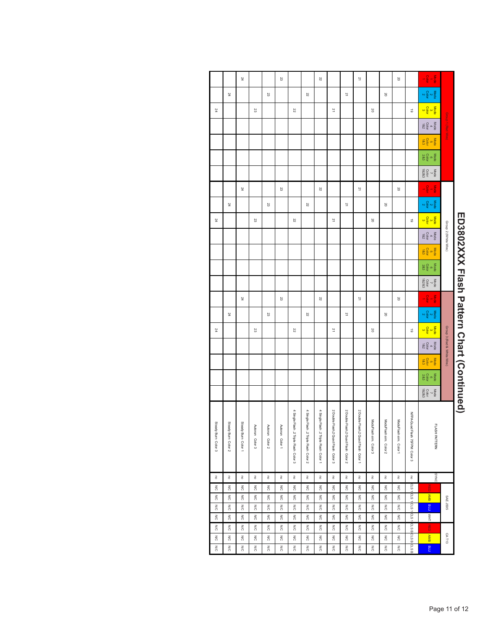|                                           |                            | $-\frac{5}{9} - \frac{5}{9}$                                                                                                                                                                                                                                                                                                                                                                                                                                                                |                               | 20                            |                          |                                  | $\overline{\phantom{a}}$             |                                      |                                      | 22                                     |                                       |                                        | 23                       |                                  |                       | 24                               |                                  |                          |
|-------------------------------------------|----------------------------|---------------------------------------------------------------------------------------------------------------------------------------------------------------------------------------------------------------------------------------------------------------------------------------------------------------------------------------------------------------------------------------------------------------------------------------------------------------------------------------------|-------------------------------|-------------------------------|--------------------------|----------------------------------|--------------------------------------|--------------------------------------|--------------------------------------|----------------------------------------|---------------------------------------|----------------------------------------|--------------------------|----------------------------------|-----------------------|----------------------------------|----------------------------------|--------------------------|
|                                           |                            | $\frac{\text{Mode}}{\text{Cdot}}$                                                                                                                                                                                                                                                                                                                                                                                                                                                           |                               |                               | 20                       |                                  |                                      | 21                                   |                                      |                                        | 22                                    |                                        |                          | 23                               |                       |                                  | 24                               |                          |
|                                           |                            |                                                                                                                                                                                                                                                                                                                                                                                                                                                                                             | $\vec{\circ}$                 |                               |                          | 20                               |                                      |                                      | 21                                   |                                        |                                       | 22                                     |                          |                                  | 23                    |                                  |                                  | 24                       |
|                                           | Group 1 (Red Wire)         | $\frac{\text{Mode}}{4}$<br>$\frac{4}{182}$                                                                                                                                                                                                                                                                                                                                                                                                                                                  |                               |                               |                          |                                  |                                      |                                      |                                      |                                        |                                       |                                        |                          |                                  |                       |                                  |                                  |                          |
|                                           |                            | $\frac{\text{Mode}}{\text{Cobr}}$                                                                                                                                                                                                                                                                                                                                                                                                                                                           |                               |                               |                          |                                  |                                      |                                      |                                      |                                        |                                       |                                        |                          |                                  |                       |                                  |                                  |                          |
|                                           |                            | $\begin{array}{c}\n\text{Mode} \\ 6 \\ \text{Cobr} \\ 283\n\end{array}$                                                                                                                                                                                                                                                                                                                                                                                                                     |                               |                               |                          |                                  |                                      |                                      |                                      |                                        |                                       |                                        |                          |                                  |                       |                                  |                                  |                          |
|                                           |                            | $\begin{array}{c}\n\text{Mode} \\ \begin{array}{c}\n\text{7.4}\n\end{array} \\ \begin{array}{c}\n\text{7.5}\n\end{array} \\ \begin{array}{c}\n\text{7.6}\n\end{array} \\ \begin{array}{c}\n\text{7.6}\n\end{array} \\ \begin{array}{c}\n\text{7.6}\n\end{array} \\ \begin{array}{c}\n\text{7.6}\n\end{array} \\ \begin{array}{c}\n\text{7.6}\n\end{array} \\ \begin{array}{c}\n\text{7.6}\n\end{array} \\ \begin{array}{c}\n\text{7.6}\n\end{array} \\ \begin{array}{c}\n$                  |                               |                               |                          |                                  |                                      |                                      |                                      |                                        |                                       |                                        |                          |                                  |                       |                                  |                                  |                          |
|                                           |                            | $-\frac{8}{9} - \frac{8}{9}$                                                                                                                                                                                                                                                                                                                                                                                                                                                                |                               | œ                             |                          |                                  | $\overline{\mathbf{z}}$              |                                      |                                      | B                                      |                                       |                                        | 23                       |                                  |                       | ÞZ                               |                                  |                          |
|                                           |                            | $\frac{\text{Node}}{\text{a} \times \frac{\text{Object}}{\text{a}}}$                                                                                                                                                                                                                                                                                                                                                                                                                        |                               |                               | $\approx$                |                                  |                                      | $\overline{2}$                       |                                      |                                        | 22                                    |                                        |                          | 23                               |                       |                                  | 24                               |                          |
|                                           |                            |                                                                                                                                                                                                                                                                                                                                                                                                                                                                                             | $\vec{\circ}$                 |                               |                          | 20                               |                                      |                                      | 21                                   |                                        |                                       | 22                                     |                          |                                  | 23                    |                                  |                                  | 24                       |
|                                           | Group 2 (White Wire)       | Mode<br>$\begin{array}{c}\n 4 \\  4 \\   Cobr \\  182\n\end{array}$                                                                                                                                                                                                                                                                                                                                                                                                                         |                               |                               |                          |                                  |                                      |                                      |                                      |                                        |                                       |                                        |                          |                                  |                       |                                  |                                  |                          |
|                                           |                            | $\frac{\text{Mode}}{\text{Cator}}$                                                                                                                                                                                                                                                                                                                                                                                                                                                          |                               |                               |                          |                                  |                                      |                                      |                                      |                                        |                                       |                                        |                          |                                  |                       |                                  |                                  |                          |
|                                           |                            | $\begin{array}{c}\n\text{Mode} \\ \text{Cobr} \\ \text{28.3}\n\end{array}$                                                                                                                                                                                                                                                                                                                                                                                                                  |                               |                               |                          |                                  |                                      |                                      |                                      |                                        |                                       |                                        |                          |                                  |                       |                                  |                                  |                          |
|                                           |                            | $\begin{array}{c}\n\text{Mode} \\ 7 \\ \text{Cobr} \\ 18283\n\end{array}$                                                                                                                                                                                                                                                                                                                                                                                                                   |                               |                               |                          |                                  |                                      |                                      |                                      |                                        |                                       |                                        |                          |                                  |                       |                                  |                                  |                          |
|                                           |                            | $-\frac{8}{9}$ $-\frac{8}{9}$                                                                                                                                                                                                                                                                                                                                                                                                                                                               |                               | 20                            |                          |                                  | 21                                   |                                      |                                      | 22                                     |                                       |                                        | 23                       |                                  |                       | 24                               |                                  |                          |
|                                           |                            | $\frac{\text{Mode}}{\text{Cobr}}$                                                                                                                                                                                                                                                                                                                                                                                                                                                           |                               |                               | $\overline{c}$           |                                  |                                      | 21                                   |                                      |                                        | 22                                    |                                        |                          | 23                               |                       |                                  | 24                               |                          |
|                                           |                            |                                                                                                                                                                                                                                                                                                                                                                                                                                                                                             | $\vec{\circ}$                 |                               |                          | 20                               |                                      |                                      | 21                                   |                                        |                                       | 22                                     |                          |                                  | 23                    |                                  |                                  | ÞZ                       |
|                                           | Group 3 (Red & White Wire) | $\begin{array}{c}\n\text{Mode} \\ \text{Cobr} \\ \text{Cobr} \\ \text{18.2}\n\end{array}$                                                                                                                                                                                                                                                                                                                                                                                                   |                               |                               |                          |                                  |                                      |                                      |                                      |                                        |                                       |                                        |                          |                                  |                       |                                  |                                  |                          |
|                                           |                            | $\frac{\text{Mode}}{\text{Colar}}$                                                                                                                                                                                                                                                                                                                                                                                                                                                          |                               |                               |                          |                                  |                                      |                                      |                                      |                                        |                                       |                                        |                          |                                  |                       |                                  |                                  |                          |
|                                           |                            | $\begin{array}{c}\n\text{Node} \\ \text{Node} \\ \text{Node} \\ \text{Node} \\ \text{Node} \\ \text{Node} \\ \text{Node} \\ \text{Node} \\ \text{Node} \\ \text{Node} \\ \text{Node} \\ \text{Node} \\ \text{Node} \\ \text{Node} \\ \text{Node} \\ \text{Node} \\ \text{Node} \\ \text{Node} \\ \text{Node} \\ \text{Node} \\ \text{Node} \\ \text{Node} \\ \text{Node} \\ \text{Node} \\ \text{Node} \\ \text{Node} \\ \text{Node} \\ \text{Node} \\ \text{Node} \\ \text{Node} \\ \text$ |                               |                               |                          |                                  |                                      |                                      |                                      |                                        |                                       |                                        |                          |                                  |                       |                                  |                                  |                          |
|                                           |                            | $\begin{array}{cc}\n\text{Mode} & \text{Total} \\ \hline\n\end{array}$                                                                                                                                                                                                                                                                                                                                                                                                                      |                               |                               |                          |                                  |                                      |                                      |                                      |                                        |                                       |                                        |                          |                                  |                       |                                  |                                  |                          |
| ED3802XXX Flash Pattern Chart (Continued) |                            |                                                                                                                                                                                                                                                                                                                                                                                                                                                                                             |                               |                               |                          |                                  |                                      |                                      |                                      |                                        |                                       |                                        |                          |                                  |                       |                                  |                                  |                          |
|                                           |                            |                                                                                                                                                                                                                                                                                                                                                                                                                                                                                             | NFPA-Quad Flash 75FPM Color 3 | ModuFlash sim. Color 1        | ModuFlash sim. Color 2   | ModuFlash sim. Color 3           | 2 Double Flash, 2 Quad Flash Color 1 | 2 Double Flash, 2 Quad Flash Color 2 | 2 Double Flash, 2 Quad Flash Color 3 | 4 Single Flash ,2 Triple Flash Color 1 | 4 Single Flash 2 Triple Flash Color 2 | 4 Single Flash, 2 Triple Flash Color 3 |                          |                                  |                       |                                  |                                  | Steady Burn Color 3      |
|                                           |                            | <b>LASH PATTERN</b>                                                                                                                                                                                                                                                                                                                                                                                                                                                                         |                               |                               |                          |                                  |                                      |                                      |                                      |                                        |                                       |                                        | Autorun Color 1          | Autorun Color 2                  | Autorun Color 3       | Steady Burn Color 1              | Steady Burn Color 2              |                          |
|                                           |                            |                                                                                                                                                                                                                                                                                                                                                                                                                                                                                             |                               |                               |                          |                                  |                                      |                                      |                                      |                                        |                                       |                                        |                          |                                  |                       |                                  |                                  |                          |
|                                           |                            | SYNC                                                                                                                                                                                                                                                                                                                                                                                                                                                                                        | $\overline{\phantom{a}}$      | $\overline{\circ}$            | $\overline{\circ}$       | $\overline{\circ}$               | $\overline{\phantom{a}}$             | ō                                    | $\overline{a}$                       | $\overline{6}$                         | $\overline{\phantom{a}}$              | ō                                      | $\overline{\circ}$       | $\overline{\circ}$               | $\overline{\circ}$    | $\overline{\rm s}$               | $\overline{\circ}$               | $\overline{\circ}$       |
|                                           |                            | Ő                                                                                                                                                                                                                                                                                                                                                                                                                                                                                           | are illers 1 pus 1 pus        | N/C                           | $\frac{8}{20}$           | $\frac{8}{10}$                   | $\frac{1}{20}$                       | $\frac{1}{20}$                       | N/C                                  | N/C                                    | $\frac{1}{20}$                        | $\frac{1}{20}$                         | N/C                      | $\leq$                           | $\leq$                | $\frac{1}{20}$                   | $\frac{8}{20}$                   | $\lesssim$               |
|                                           | <b>SAE J595</b>            | AMB BLU                                                                                                                                                                                                                                                                                                                                                                                                                                                                                     |                               | $\leqslant$<br>$\frac{1}{20}$ | $\leq$<br>$\frac{1}{20}$ | $\frac{8}{10}$<br>$\frac{1}{20}$ | $\leq$<br>N/C                        | $\frac{1}{20}$<br>$\frac{1}{20}$     | $\frac{1}{20}$<br>$\frac{1}{20}$     | $\frac{1}{2}$<br>$\frac{1}{20}$        | $\leq$<br>$\frac{1}{20}$              | $\leq$<br>$\frac{1}{20}$               | $\leq$<br>$\frac{1}{20}$ | $\frac{1}{20}$<br>$\frac{1}{20}$ | $\frac{1}{20}$<br>N/C | $\frac{1}{20}$<br>$\frac{1}{20}$ | $\frac{1}{20}$<br>$\frac{1}{20}$ | $\leq$<br>$\frac{1}{20}$ |
|                                           |                            | THW <sup></sup>                                                                                                                                                                                                                                                                                                                                                                                                                                                                             |                               | Μ                             | $\frac{1}{2}$            | $\frac{1}{20}$                   | <b>N/C</b>                           | ΜC                                   | ΜC                                   | $\frac{1}{2}$                          | ΜC                                    | <b>NO</b>                              | <b>N/C</b>               | $\frac{2}{3}$                    | $\frac{2}{3}$         | $\frac{1}{20}$                   | $\frac{z}{\alpha}$               | ΟN.                      |
|                                           |                            | $\frac{1}{6}$                                                                                                                                                                                                                                                                                                                                                                                                                                                                               | GLS B <sub>CLS</sub> B        | N/C                           | $\frac{8}{20}$           | $\leq$                           | $\frac{8}{20}$                       | ΜC                                   | $\frac{8}{10}$                       | $\frac{1}{20}$                         | $\leq$                                | $\leq$                                 | $\frac{1}{20}$           | $\leq$                           | N/C                   | $\leq$                           | $\frac{8}{10}$                   | $\leq$                   |
|                                           | CAT13                      | AMB BLU                                                                                                                                                                                                                                                                                                                                                                                                                                                                                     |                               | $\leq$                        | $\leq$                   | $\lesssim$                       | $\leq$                               | $\leq$                               | N/C                                  | $\frac{8}{10}$                         | $\leq$                                | $\leq$                                 | $\leq$                   | $\leq$                           | $\leq$                | N/C                              | N/C                              | N/C<br>$\lesssim$        |
|                                           |                            |                                                                                                                                                                                                                                                                                                                                                                                                                                                                                             | CLS B                         | $\lesssim$                    | $\lesssim$               | $\lesssim$                       | $\lesssim$                           | $\leq$                               | $\frac{8}{10}$                       | $\leq$                                 | $\lesssim$                            | $\lessapprox$                          | $\lessapprox$            | $\leq$                           | $\lesssim$            | $\frac{8}{10}$                   |                                  | $\leq$                   |